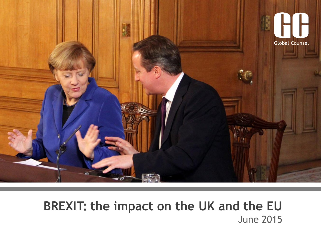

# **BREXIT: the impact on the UK and the EU**  June 2015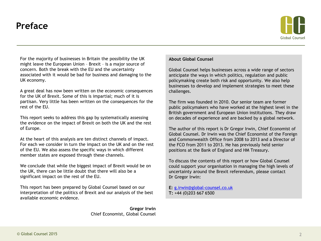### **Preface**



For the majority of businesses in Britain the possibility the UK might leave the European Union – Brexit – is a major source of concern. Both the break with the EU and the uncertainty associated with it would be bad for business and damaging to the UK economy.

A great deal has now been written on the economic consequences for the UK of Brexit. Some of this is impartial; much of it is partisan. Very little has been written on the consequences for the rest of the EU.

This report seeks to address this gap by systematically assessing the evidence on the impact of Brexit on both the UK and the rest of Europe.

At the heart of this analysis are ten distinct channels of impact. For each we consider in turn the impact on the UK and on the rest of the EU. We also assess the specific ways in which different member states are exposed through these channels.

We conclude that while the biggest impact of Brexit would be on the UK, there can be little doubt that there will also be a significant impact on the rest of the EU.

This report has been prepared by Global Counsel based on our interpretation of the politics of Brexit and our analysis of the best available economic evidence.

> **Gregor Irwin** Chief Economist, Global Counsel

#### **About Global Counsel**

Global Counsel helps businesses across a wide range of sectors anticipate the ways in which politics, regulation and public policymaking create both risk and opportunity. We also help businesses to develop and implement strategies to meet these challenges.

The firm was founded in 2010. Our senior team are former public policymakers who have worked at the highest level in the British government and European Union institutions. They draw on decades of experience and are backed by a global network.

The author of this report is Dr Gregor Irwin, Chief Economist of Global Counsel. Dr Irwin was the Chief Economist of the Foreign and Commonwealth Office from 2008 to 2013 and a Director of the FCO from 2011 to 2013. He has previously held senior positions at the Bank of England and HM Treasury.

To discuss the contents of this report or how Global Counsel could support your organisation in managing the high levels of uncertainty around the Brexit referendum, please contact Dr Gregor Irwin:

**E:** [g.irwin@global-counsel.co.uk](mailto:g.irwin@global-counsel.co.uk) **T:** +44 (0)203 667 6500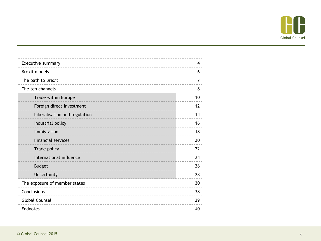

| Executive summary             | 4  |
|-------------------------------|----|
| <b>Brexit models</b>          | 6  |
| The path to Brexit            | 7  |
| The ten channels              | 8  |
| Trade within Europe           | 10 |
| Foreign direct investment     | 12 |
| Liberalisation and regulation | 14 |
| Industrial policy             | 16 |
| Immigration                   | 18 |
| <b>Financial services</b>     | 20 |
| Trade policy                  | 22 |
| International influence       | 24 |
| <b>Budget</b>                 | 26 |
| Uncertainty                   | 28 |
| The exposure of member states | 30 |
| Conclusions                   | 38 |
| <b>Global Counsel</b>         | 39 |
| Endnotes                      | 40 |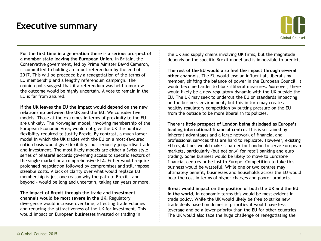### **Executive summary**



**For the first time in a generation there is a serious prospect of a member state leaving the European Union.** In Britain, the Conservative government, led by Prime Minister David Cameron, is committed to holding an in-out referendum by the end of 2017. This will be preceded by a renegotiation of the terms of EU membership and a lengthy referendum campaign. The opinion polls suggest that if a referendum was held tomorrow the outcome would be highly uncertain. A vote to remain in the EU is far from assured.

**If the UK leaves the EU the impact would depend on the new relationship between the UK and the EU.** We consider five models. Those at the extremes in terms of proximity to the EU are unlikely. The Norwegian model, involving membership of the European Economic Area, would not give the UK the political flexibility required to justify Brexit. By contrast, a much looser model in which the UK trades with the EU on a most-favoured nation basis would give flexibility, but seriously jeopardise trade and investment. The most likely models are either a Swiss-style series of bilateral accords governing access to specific sectors of the single market or a comprehensive FTA. Either would require prolonged negotiation followed by compromises and still impose sizeable costs. A lack of clarity over what would replace EU membership is just one reason why the path to Brexit - and beyond - would be long and uncertain, taking ten years or more.

**The impact of Brexit through the trade and investment channels would be most severe in the UK.** Regulatory divergence would increase over time, affecting trade volumes and reducing the attractiveness of the UK for investment. This would impact on European businesses invested or trading in

the UK and supply chains involving UK firms, but the magnitude depends on the specific Brexit model and is impossible to predict.

**The rest of the EU would also feel the impact through several other channels.** The EU would lose an influential, liberalising member, shifting the balance of power in the European Council. It would become harder to block illiberal measures. Moreover, there would likely be a new regulatory dynamic with the UK outside the EU. The UK may seek to undercut the EU on standards impacting on the business environment; but this in turn may create a healthy regulatory competition by putting pressure on the EU from the outside to be more liberal in its policies.

**There is little prospect of London being dislodged as Europe's leading international financial centre.** This is sustained by inherent advantages and a large network of financial and professional services that are hard to replicate. However, existing EU regulations would make it harder for London to serve European markets, particularly (but not only) for retail banking and euro trading. Some business would be likely to move to Eurozone financial centres or be lost to Europe. Competition to take this business would be wasteful. While one or two centres may ultimately benefit, businesses and households across the EU would bear the cost in terms of higher charges and poorer products.

**Brexit would impact on the position of both the UK and the EU in the world.** In economic terms this would be most evident in trade policy. While the UK would likely be free to strike new trade deals based on domestic priorities it would have less leverage and be a lower priority than the EU for other countries. The UK would also face the huge challenge of renegotiating the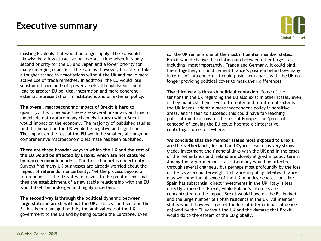### **Executive summary**



existing EU deals that would no longer apply. The EU would likewise be a less attractive partner at a time when it is only second priority for the US and Japan and a lower priority for many emerging countries. The EU may, however, be able to take a tougher stance in negotiations without the UK and make more active use of trade remedies. In addition, the EU would lose substantial hard and soft power assets although Brexit could lead to greater EU political integration and more coherent external representation in institutions and on external policy.

**The overall macroeconomic impact of Brexit is hard to quantify.** This is because there are several unknowns and macro models do not capture many channels through which Brexit would impact on the economy. The majority of published studies find the impact on the UK would be negative and significant. The impact on the rest of the EU would be smaller, although no comprehensive macroeconomic estimate has been published.

**There are three broader ways in which the UK and the rest of the EU would be affected by Brexit, which are not captured by macroeconomic models. The first channel is uncertainty.**  Surveys find many UK businesses are already worried about the impact of referendum uncertainty. Yet the process beyond a referendum - if the UK votes to leave - to the point of exit and then the establishment of a new stable relationship with the EU would itself be prolonged and highly uncertain.

**The second way is through the political dynamic between large states in an EU without the UK.** The UK's influence in the EU has been damaged both by the ambivalence of the UK government to the EU and by being outside the Eurozone. Even

so, the UK remains one of the most influential member states. Brexit would change the relationship between other large states including, most importantly, France and Germany. It could bind them together; it could cement France's position behind Germany in terms of influence; or it could push them apart, with the UK no longer providing political cover to mask their differences.

**The third way is through political contagion.** Some of the tensions in the UK regarding the EU also exist in other states, even if they manifest themselves differently and to different extents. If the UK leaves, adopts a more independent policy in sensitive areas, and is seen to succeed, this could have far-reaching political ramifications for the rest of Europe. The 'proof of concept' of leaving the EU could liberate disintegrative, centrifugal forces elsewhere.

**We conclude that the member states most exposed to Brexit are the Netherlands, Ireland and Cyprus.** Each has very strong trade, investment and financial links with the UK and in the cases of the Netherlands and Ireland are closely aligned in policy terms. Among the larger member states Germany would be affected through several channels, but perhaps most profoundly by the loss of the UK as a counterweight to France in policy debates. France may welcome the absence of the UK in policy debates, but like Spain has substantial direct investments in the UK. Italy is less directly exposed to Brexit, while Poland's interests are concentrated on the impact Brexit would have on the EU budget and the large number of Polish residents in the UK. All member states would, however, regret the loss of international influence enjoyed by the EU without the UK and the damage that Brexit would do to the esteem of the EU globally.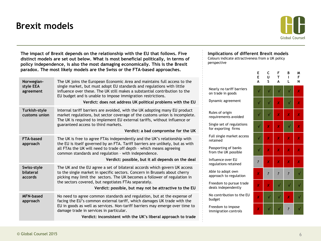# **Brexit models**



| The impact of Brexit depends on the relationship with the EU that follows. Five<br>distinct models are set out below. What is most beneficial politically, in terms of<br>policy independence, is also the most damaging economically. This is the Brexit | Implications of different Brexit models<br>Colours indicate attractiveness from a UK policy<br>perspective                                                                                                                                                                                                                                                                            |                                                  |                |                |                |                |        |
|-----------------------------------------------------------------------------------------------------------------------------------------------------------------------------------------------------------------------------------------------------------|---------------------------------------------------------------------------------------------------------------------------------------------------------------------------------------------------------------------------------------------------------------------------------------------------------------------------------------------------------------------------------------|--------------------------------------------------|----------------|----------------|----------------|----------------|--------|
|                                                                                                                                                                                                                                                           | paradox. The most likely models are the Swiss or the FTA-based approaches.                                                                                                                                                                                                                                                                                                            |                                                  | Е<br>E         | C<br>U         | F<br>T.        | B<br>L.        | M<br>F |
| Norwegian-<br>style EEA                                                                                                                                                                                                                                   | The UK joins the European Economic Area and maintains full access to the<br>single market, but must adopt EU standards and regulations with little                                                                                                                                                                                                                                    |                                                  |                |                |                |                | N      |
| agreement                                                                                                                                                                                                                                                 | influence over these. The UK still makes a substantial contribution to the<br>EU budget and is unable to impose immigration restrictions.                                                                                                                                                                                                                                             | Nearly no tariff barriers<br>on trade in goods   |                |                |                |                | Х      |
|                                                                                                                                                                                                                                                           | Verdict: does not address UK political problems with the EU                                                                                                                                                                                                                                                                                                                           | Dynamic agreement                                |                |                | X              |                | X      |
| Turkish-style<br>customs union                                                                                                                                                                                                                            | Internal tariff barriers are avoided, with the UK adopting many EU product<br>market regulations, but sector coverage of the customs union is incomplete.<br>The UK is required to implement EU external tariffs, without influence or                                                                                                                                                | Rules of origin<br>requirements avoided          |                |                | X              | X              | X      |
|                                                                                                                                                                                                                                                           | guaranteed access to third markets.<br>Verdict: a bad compromise for the UK                                                                                                                                                                                                                                                                                                           | Single set of regulations<br>for exporting firms |                | Х              | X              |                | X      |
| <b>FTA-based</b><br>approach                                                                                                                                                                                                                              | The UK is free to agree FTAs independently and the UK's relationship with<br>the EU is itself governed by an FTA. Tariff barriers are unlikely, but as with                                                                                                                                                                                                                           | Full single market access<br>retained            |                | X              | x              | X              | Х      |
|                                                                                                                                                                                                                                                           | all FTAs the UK will need to trade off depth - which means agreeing<br>common standards and regulation - with independence.                                                                                                                                                                                                                                                           | Passporting of banks<br>from the UK possible     |                | X              | x              | X              | Х      |
|                                                                                                                                                                                                                                                           | Verdict: possible, but it all depends on the deal<br>Influence over EU<br>regulations retained<br>The UK and the EU agree a set of bilateral accords which govern UK access<br>Able to adopt own<br>to the single market in specific sectors. Concern in Brussels about cherry<br>approach to regulation<br>picking may limit the sectors. The UK becomes a follower of regulation in |                                                  | $\ddot{\cdot}$ | x              | x              | X              | Х      |
| Swiss-style<br>bilateral<br>accords                                                                                                                                                                                                                       |                                                                                                                                                                                                                                                                                                                                                                                       |                                                  | X              | $\ddot{\cdot}$ | $\overline{?}$ | $\overline{?}$ |        |
|                                                                                                                                                                                                                                                           | the sectors covered, but negotiates FTAs separately.<br>Verdict: possible, but may not be attractive to the EU                                                                                                                                                                                                                                                                        | Freedom to pursue trade<br>deals independently   | X              | X              |                |                |        |
| <b>MFN-based</b><br>approach                                                                                                                                                                                                                              | No need to agree common standards and regulation, but at the expense of<br>facing the EU's common external tariff, which damages UK trade with the                                                                                                                                                                                                                                    | No contribution to the EU<br>budget              | X              | √              | $\sqrt{}$      | Х              |        |
|                                                                                                                                                                                                                                                           | EU in goods as well as services. Non-tariff barriers may emerge over time to<br>damage trade in services in particular.                                                                                                                                                                                                                                                               | Freedom to impose<br>immigration controls        |                |                |                |                |        |
|                                                                                                                                                                                                                                                           | Verdict: inconsistent with the UK's liberal approach to trade                                                                                                                                                                                                                                                                                                                         |                                                  |                |                |                |                |        |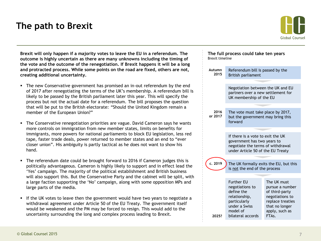### **The path to Brexit**



**Brexit will only happen if a majority votes to leave the EU in a referendum. The outcome is highly uncertain as there are many unknowns including the timing of the vote and the outcome of the renegotiation. If Brexit happens it will be a long and protracted process. While some points on the road are fixed, others are not, creating additional uncertainty.** 

- The new Conservative government has promised an in-out referendum by the end of 2017 after renegotiating the terms of the UK's membership. A referendum bill is likely to be passed by the British parliament later this year. This will specify the process but not the actual date for a referendum. The bill proposes the question that will be put to the British electorate: "Should the United Kingdom remain a member of the European Union?"
- The Conservative renegotiation priorities are vague. David Cameron says he wants more controls on immigration from new member states, limits on benefits for immigrants, more powers for national parliaments to block EU legislation, less red tape, faster trade deals, power returned to member states and an end to "ever closer union". His ambiguity is partly tactical as he does not want to show his hand.
- The referendum date could be brought forward to 2016 if Cameron judges this is politically advantageous. Cameron is highly likely to support and in effect lead the 'Yes' campaign. The majority of the political establishment and British business will also support this. But the Conservative Party and the cabinet will be split, with a large faction supporting the 'No' campaign, along with some opposition MPs and large parts of the media.
- If the UK votes to leave then the government would have two years to negotiate a withdrawal agreement under Article 50 of the EU Treaty. The government itself would be weakened and the PM may be forced to resign. This would add to the uncertainty surrounding the long and complex process leading to Brexit.

| The full process could take ten years<br><b>Brexit timeline</b>                                                                            |                                                                                                                                                   |  |  |  |  |  |
|--------------------------------------------------------------------------------------------------------------------------------------------|---------------------------------------------------------------------------------------------------------------------------------------------------|--|--|--|--|--|
| Referendum bill is passed by the<br>British parliament                                                                                     |                                                                                                                                                   |  |  |  |  |  |
| Negotiation between the UK and EU<br>partners over a new settlement for<br>UK membership of the EU                                         |                                                                                                                                                   |  |  |  |  |  |
| The vote must take place by 2017,<br>but the government may bring this<br>forward                                                          |                                                                                                                                                   |  |  |  |  |  |
| If there is a vote to exit the UK<br>government has two years to<br>negotiate the terms of withdrawal<br>under Article 50 of the EU Treaty |                                                                                                                                                   |  |  |  |  |  |
|                                                                                                                                            | The UK formally exits the EU, but this                                                                                                            |  |  |  |  |  |
|                                                                                                                                            |                                                                                                                                                   |  |  |  |  |  |
| <b>Further EU</b><br>negotiations to<br>define the<br>relationship,<br>particularly<br>under a Swiss<br>model of<br>bilateral accords      | The UK must<br>pursue a number<br>of third-party<br>negotiations to<br>replace treaties<br>that no longer<br>apply, such as<br>FTA <sub>s</sub> . |  |  |  |  |  |
|                                                                                                                                            | is not the end of the process                                                                                                                     |  |  |  |  |  |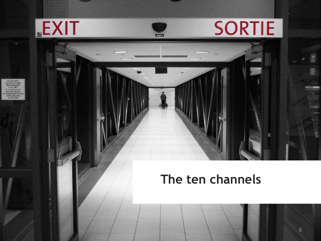

# **The ten channels**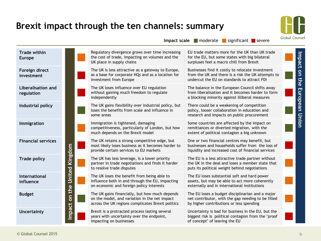### **Brexit impact through the ten channels: summary**

![](_page_8_Picture_1.jpeg)

 $$ 

of concept' of leaving the EU

|                                         |                             |                                                                                                                                                      | $\frac{1}{2}$ inductance significant severe                                                                                                              |
|-----------------------------------------|-----------------------------|------------------------------------------------------------------------------------------------------------------------------------------------------|----------------------------------------------------------------------------------------------------------------------------------------------------------|
| <b>Trade within</b><br><b>Europe</b>    |                             | Regulatory divergence grows over time increasing<br>the cost of trade, impacting on volumes and the<br>UK place in supply chains                     | EU trade matters more for the UK than UK trade<br>for the EU, but some states with big bilateral<br>surpluses feel a macro chill from Brexit             |
| Foreign direct<br>investment            |                             | The UK is less attractive as a gateway to Europe,<br>as a base for corporate HQs and as a location for<br>investment from Europe                     | Businesses find it costly to relocate investment<br>from the UK and there is a risk the UK attempts to<br>undercut the EU on standards to attract FDI    |
| <b>Liberalisation and</b><br>regulation |                             | The UK loses influence over EU regulation<br>without gaining much freedom to regulate<br>independently                                               | The balance in the European Council shifts away<br>from liberalisation and it becomes harder to form<br>a blocking minority against illiberal measures   |
| Industrial policy                       |                             | The UK gains flexibility over industrial policy, but<br>loses the benefits from scale and influence in<br>some areas                                 | There could be a weakening of competition<br>policy, looser collaboration in education and<br>research and impacts on public procurement                 |
| <b>Immigration</b>                      |                             | Immigration is tightened, damaging<br>competitiveness, particularly of London, but how<br>much depends on the Brexit model                           | Some countries are affected by the impact on<br>remittances or diverted migration, with the<br>extent of political contagion a big unknown               |
| <b>Financial services</b>               |                             | The UK retains a strong competitive edge, but<br>most likely loses business as it becomes harder to<br>provide certain services to EU markets        | One or two financial centres may benefit, but<br>businesses and households suffer from the loss of<br>liquidity and increased cost of financial services |
| <b>Trade policy</b>                     |                             | The UK has less leverage, is a lower priority<br>partner in trade negotiations and finds it harder<br>to resolve trade disputes                      | The EU is a less attractive trade partner without<br>the UK in the deal and loses a member state that<br>puts its political weight behind negotiations   |
| <b>International</b><br>influence       |                             | The UK loses the benefit from being able to<br>influence both in and through the EU, impacting<br>on economic and foreign policy interests           | The EU loses substantial soft and hard power<br>assets, but may be able to act more coherently<br>externally and in international institutions           |
| <b>Budget</b>                           | mpact on the United Kingdom | The UK gains financially, but how much depends<br>on the model, and variation in the net impact<br>across the UK regions complicates Brexit politics | The EU loses a budget disciplinarian and a major<br>net contributor, with the gap needing to be filled<br>by higher contributions or less spending       |
| <b>Uncertainty</b>                      |                             | Brexit is a protracted process lasting several<br>years with uncertainty over the endpoint,                                                          | Uncertainty is bad for business in the EU, but the<br>biggest risk is political contagion from the 'proof                                                |

impacting on businesses

Uncertainty<br>
Uncertainty<br>
Uncertainty<br>
Brexit is a protracted process lasting several<br>
years with uncertainty over the endpoint,

9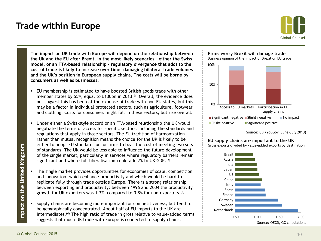### **Trade within Europe**

![](_page_9_Picture_1.jpeg)

**The impact on UK trade with Europe will depend on the relationship between the UK and the EU after Brexit. In the most likely scenarios – either the Swiss model, or an FTA-based relationship – regulatory divergence that adds to the cost of trade is likely to increase over time, damaging bilateral trade volumes and the UK's position in European supply chains. The costs will be borne by consumers as well as businesses.**

- EU membership is estimated to have boosted British goods trade with other member states by 55%, equal to £130bn in 2013.<sup>(1)</sup> Overall, the evidence does not suggest this has been at the expense of trade with non-EU states, but this may be a factor in individual protected sectors, such as agriculture, footwear and clothing. Costs for consumers might fall in these sectors, but rise overall.
- Under either a Swiss-style accord or an FTA-based relationship the UK would negotiate the terms of access for specific sectors, including the standards and regulations that apply in those sectors. The EU tradition of harmonization rather than mutual recognition means the choice for the UK is likely to be either to adopt EU standards or for firms to bear the cost of meeting two sets of standards. The UK would be less able to influence the future development of the single market, particularly in services where regulatory barriers remain significant and where full liberalisation could add 7% to UK GDP.<sup>(2)</sup>
- The single market provides opportunities for economies of scale, competition and innovation, which enhance productivity and which would be hard to replicate fully through trade outside Europe. There is a strong relationship between exporting and productivity: between 1996 and 2004 the productivity growth for UK exporters was 1.3%, compared to 0.8% for non-exporters.(3)
- Supply chains are becoming more important for competitiveness, but tend to be geographically concentrated. About half of EU imports to the UK are intermediates.(4) The high ratio of trade in gross relative to value-added terms suggests that much UK trade with Europe is connected to supply chains.

![](_page_9_Figure_7.jpeg)

Business opinion of the impact of Brexit on EU trade

![](_page_9_Figure_9.jpeg)

Source: CBI/YouGov (June-July 2013)

#### **EU supply chains are important to the UK**

Gross exports divided by value-added exports by destination

![](_page_9_Figure_13.jpeg)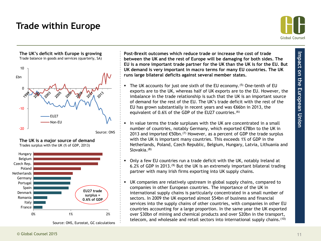# **Trade within Europe**

![](_page_10_Picture_1.jpeg)

![](_page_10_Figure_3.jpeg)

![](_page_10_Figure_4.jpeg)

**The UK is a major source of demand** Trades surplus with the UK (% of GDP, 2013)

Source: ONS, Eurostat, GC calculations

**Post-Brexit outcomes which reduce trade or increase the cost of trade between the UK and the rest of Europe will be damaging for both sides. The EU is a more important trade partner for the UK than the UK is for the EU. But UK demand is very important in macro terms for many EU countries. The UK runs large bilateral deficits against several member states.**

- The UK accounts for just one sixth of the EU economy.<sup>(5)</sup> One-tenth of EU exports are to the UK, whereas half of UK exports are to the EU. However, the imbalance in the trade relationship is such that the UK is an important source of demand for the rest of the EU. The UK's trade deficit with the rest of the EU has grown substantially in recent years and was €66bn in 2013, the equivalent of 0.6% of the GDP of the EU27 countries.<sup>(6)</sup>
- In value terms the trade surpluses with the UK are concentrated in a small number of countries, notably Germany, which exported €78bn to the UK in 2013 and imported  $\epsilon$ 50bn.<sup>(7)</sup> However, as a percent of GDP the trade surplus with the UK is important many countries. This exceeds 1% of GDP in the Netherlands, Poland, Czech Republic, Belgium, Hungary, Latvia, Lithuania and Slovakia.<sup>(8)</sup>
- Only a few EU countries run a trade deficit with the UK, notably Ireland at 6.2% of GDP in 2013.(9) But the UK is an extremely important bilateral trading partner with many Irish firms exporting into UK supply chains.
- UK companies are relatively upstream in global supply chains, compared to companies in other European countries. The importance of the UK in international supply chains is particularly concentrated in a small number of sectors. In 2009 the UK exported almost \$54bn of business and financial services into the supply chains of other countries, with companies in other EU countries accounting for a large proportion. In the same year the UK exported over \$30bn of mining and chemical products and over \$20bn in the transport, telecom, and wholesale and retail sectors into international supply chains.(10)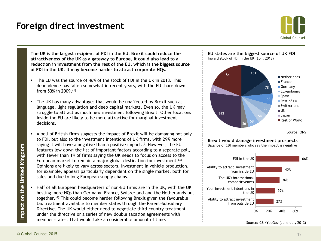### **Foreign direct investment**

![](_page_11_Picture_1.jpeg)

**The UK is the largest recipient of FDI in the EU. Brexit could reduce the attractiveness of the UK as a gateway to Europe. It could also lead to a reduction in investment from the rest of the EU, which is the biggest source of FDI in the UK. It may become harder to attract corporate HQs.**

- The EU was the source of 46% of the stock of FDI in the UK in 2013. This dependence has fallen somewhat in recent years, with the EU share down from 53% in 2009. (1)
- The UK has many advantages that would be unaffected by Brexit such as language, light regulation and deep capital markets. Even so, the UK may struggle to attract as much new investment following Brexit. Other locations inside the EU are likely to be more attractive for marginal investment decisions.
- A poll of British firms suggests the impact of Brexit will be damaging not only to FDI, but also to the investment intentions of UK firms, with 29% more saying it will have a negative than a positive impact.<sup>(2)</sup> However, the EU features low down the list of important factors according to a separate poll, with fewer than 1% of firms saying the UK needs to focus on access to the European market to remain a major global destination for investment.<sup>(3)</sup> Opinions are likely to vary across sectors. Investment in vehicle production, for example, appears particularly dependent on the single market, both for sales and due to long European supply chains.
- Half of all European headquarters of non-EU firms are in the UK, with the UK hosting more HQs than Germany, France, Switzerland and the Netherlands put together.(4) This could become harder following Brexit given the favourable tax treatment available to member states through the Parent-Subsidiary Directive. The UK would either need to negotiate third-country treatment under the directive or a series of new double taxation agreements with member states. That would take a considerable amount of time.

![](_page_11_Figure_7.jpeg)

Source: ONS

**Brexit would damage investment prospects**

Balance of CBI members who say the impact is negative

![](_page_11_Figure_11.jpeg)

Source: CBI/YouGov (June-July 2013)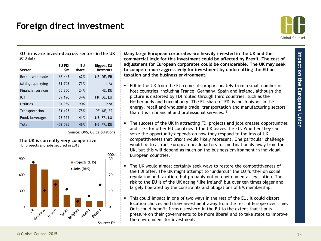# **Foreign direct investment**

![](_page_12_Picture_1.jpeg)

**EU firms are invested across sectors in the UK** 2013 data

| Sector                    | EU FDI<br>\$m | EU<br>share | <b>Biggest EU</b><br>investors |
|---------------------------|---------------|-------------|--------------------------------|
| Retail, wholesale         | 66,443        | 62%         | NE, DE, FR                     |
| Mining, quarrying         | 61,708        | 73%         | n/a                            |
| <b>Financial services</b> | 55,850        | 24%         | NE, DE                         |
| <b>ICT</b>                | 39,190        | 34%         | FR, DE, LU                     |
| Utilities                 | 34,989        | 90%         | n/a                            |
| Transportation            | 31,125        | 75%         | DE, NE, ES                     |
| Food, beverages           | 23,555        | 41%         | NE, FR, LU                     |
| Total                     | 452,525       | 46%         | NE. FR. DE                     |

Source: ONS, GC calculations

#### **The UK is currently very competitive**  FDI projects and jobs secured in 2013

![](_page_12_Figure_7.jpeg)

**Many large European corporates are heavily invested in the UK and the commercial logic for this investment could be affected by Brexit. The cost of adjustment for European corporates could be considerable. The UK may seek to compete more aggressively for investment by undercutting the EU on taxation and the business environment.** 

- FDI in the UK from the EU comes disproportionately from a small number of host countries, including France, Germany, Spain and Ireland, although the picture is distorted by FDI routed through third countries, such as the Netherlands and Luxembourg. The EU share of FDI is much higher in the energy, retail and wholesale trade, transportation and manufacturing sectors than it is in financial and professional services. (5)
- The success of the UK in attracting FDI projects and jobs creates opportunities and risks for other EU countries if the UK leaves the EU. Whether they can seize the opportunity depends on how they respond to the loss of UK competitiveness that Brexit would likely represent. One particular challenge would be to attract European headquarters for multinationals away from the UK, but this will depend as much on the business environment in individual European countries.
- The UK would almost certainly seek ways to restore the competitiveness of the FDI offer. The UK might attempt to 'undercut' the EU further on social regulation and taxation, but probably not on environmental legislation. The risk to the EU is of the UK acting 'like Ireland' but over ten times bigger and largely liberated by the constraints and obligations of EM membership.
- This could impact in one of two ways in the rest of the EU. It could distort location choices and draw investment away from the rest of Europe over time. Or it could benefit firms elsewhere in the EU to the extent that it puts pressure on their governments to be more liberal and to take steps to improve the environment for investment.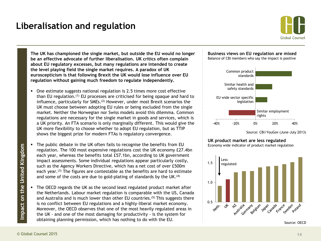# **Liberalisation and regulation**

![](_page_13_Picture_1.jpeg)

**The UK has championed the single market, but outside the EU would no longer be an effective advocate of further liberalisation. UK critics often complain about EU regulatory excesses, but many regulations are intended to create the level playing field the single market requires. A paradox of UK euroscepticism is that following Brexit the UK would lose influence over EU regulation without gaining much freedom to regulate independently.** 

- One estimate suggests national regulation is 2.5 times more cost effective than EU regulation.(1) EU processes are criticised for being opaque and hard to influence, particularly for SMEs.<sup>(2)</sup> However, under most Brexit scenarios the UK must choose between adopting EU rules or being excluded from the single market. Neither the Norwegian nor Swiss models avoid this dilemma. Common regulations are necessary for the single market in goods and services, which is a UK priority. An FTA scenario is only marginally different. This would give the UK more flexibility to choose whether to adopt EU regulation, but as TTIP shows the biggest prize for modern FTAs is regulatory convergence.
- The public debate in the UK often fails to recognise the benefits from EU regulation. The 100 most expensive regulations cost the UK economy £27.4bn each year, whereas the benefits total £57.1bn, according to UK government impact assessments. Some individual regulations appear particularly costly, such as the Agency Workers Directive, which has a net cost of over £500m each year.<sup>(3)</sup> The figures are contestable as the benefits are hard to estimate and some of the costs are due to gold-plating of standards by the UK.<sup>(4)</sup>
- The OECD regards the UK as the second least regulated product market after the Netherlands. Labour market regulation is comparable with the US, Canada and Australia and is much lower than other EU countries.<sup>(5)</sup> This suggests there is no conflict between EU regulations and a highly-liberal market economy. Moreover, the OECD observes that one of the most heavily regulated areas in the UK - and one of the most damaging for productivity - is the system for obtaining planning permission, which has nothing to do with the EU.

![](_page_13_Figure_6.jpeg)

![](_page_13_Figure_7.jpeg)

Source: CBI/YouGov (June-July 2013)

#### **UK product market are less regulated**

Economy wide indicator of product market regulation

![](_page_13_Figure_11.jpeg)

Source: OECD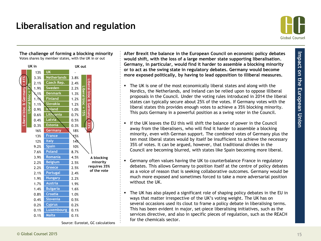# **Liberalisation and regulation**

**The challenge of forming a blocking minority**

![](_page_14_Picture_1.jpeg)

#### Votes shares by member states, with the UK in or out **UK in UK out** 13% **UK** - 3.3% **Netherlands** 3.8% **Liberal bloc & Germany = 41%** Liberal bloc & Germany **Liberal bloc & Germany = 33%** 2.1% **Czech Rep.** 2.4% **Liberal bloc = 25%** 1.9% **Sweden** 2.2% 듷 **Liberal bloc = 15%** Liberal bloc & Germany 1.1% **Denmark** 1.3% Liberal bloc 1.1% **Finland** 1.2%  $\sigma$ 1.1% **Slovakia** 1.2% 0.9% **Ireland** 1.0% 0.6% **Lithuania** 0.7% 0.4% **Latvia** 0.5% 0.3% **Estonia** 0.3% 16% **Germany** 18% 13% **France** 13% 12% **Italy** 14% 9.2% **Spain** 10% 7.6% **Poland** 8.7% 3.9% **Romania** 4.5% **A blocking**  2.2% **Belgium** 2.5% **minority requires 35%**  2.2% **Greece** 2.5% **of the vote**2.1% **Portugal** 2.4% 1.9% **Hungary** 2.2% 1.7% **Austria** 1.9% 1.4% **Bulgaria** 1.6% 0.8% **Croatia** 1.0% 0.4% **Slovenia** 0.5% 0.2% **Cyprus** 0.2% 0.1% **Luxembourg** 0.1%

**After Brexit the balance in the European Council on economic policy debates would shift, with the loss of a large member state supporting liberalisation. Germany, in particular, would find it harder to assemble a blocking minority or to act as the swing state in regulatory debates. Germany would become more exposed politically, by having to lead opposition to illiberal measures.**

- The UK is one of the most economically liberal states and along with the Nordics, the Netherlands, and Ireland can be relied upon to oppose illiberal proposals in the Council. Under the voting rules introduced in 2014 the liberal states can typically secure about 25% of the votes. If Germany votes with the liberal states this provides enough votes to achieve a 35% blocking minority. This puts Germany in a powerful position as a swing voter in the Council.
- If the UK leaves the EU this will shift the balance of power in the Council away from the liberalisers, who will find it harder to assemble a blocking minority, even with German support. The combined votes of Germany plus the ten most liberal states would by itself be insufficient to achieve the necessary 35% of votes. It can be argued, however, that traditional divides in the Council are becoming blurred, with states like Spain becoming more liberal.
- Germany often values having the UK to counterbalance France in regulatory debates. This allows Germany to position itself at the centre of policy debates as a voice of reason that is seeking collaborative outcomes. Germany would be much more exposed and sometimes forced to take a more adversarial position without the UK.
- The UK has also played a significant role of shaping policy debates in the EU in ways that matter irrespective of the UK's voting weight. The UK has on several occasions used its clout to frame a policy debate in liberalising terms. This has been evident in major, set-piece liberalising initiatives, such as the services directive, and also in specific pieces of regulation, such as the REACH for the chemicals sector.

Source: Eurostat, GC calculations

0.1% **Malta** 0.1%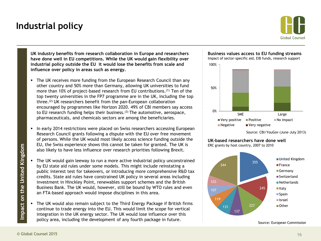# **Industrial policy**

![](_page_15_Picture_1.jpeg)

**UK industry benefits from research collaboration in Europe and researchers have done well in EU competitions. While the UK would gain flexibility over industrial policy outside the EU it would lose the benefits from scale and influence over policy in areas such as energy.**

- The UK receives more funding from the European Research Council than any other country and 50% more than Germany, allowing UK universities to fund more than 10% of project-based research from EU contributions.(1) Ten of the top twenty universities in the FP7 programme are in the UK, including the top three.(2) UK researchers benefit from the pan-European collaboration encouraged by programmes like Horizon 2020. 49% of CBI members say access to EU research funding helps their business.(3) The automotive, aerospace, pharmaceuticals, and chemicals sectors are among the beneficiaries.
- **In early 2014 restrictions were placed on Swiss researchers accessing European** Research Council grants following a dispute with the EU over free movement of persons. While the UK would most likely access science funding outside the EU, the Swiss experience shows this cannot be taken for granted. The UK is also likely to have less influence over research priorities following Brexit.
- The UK would gain leeway to run a more active industrial policy unconstrained by EU state aid rules under some models. This might include reinstating a public interest test for takeovers, or introducing more comprehensive R&D tax credits. State aid rules have constrained UK policy in several areas including investment in Hinckley Point, renewables support schemes and the British Business Bank. The UK would, however, still be bound by WTO rules and even an FTA-based approach would impose disciplines in this area.
- The UK would also remain subject to the Third Energy Package if British firms continue to trade energy into the EU. This would limit the scope for vertical integration in the UK energy sector. The UK would lose influence over this policy area, including the development of any fourth package in future.

![](_page_15_Figure_7.jpeg)

**Business values access to EU funding streams** 

Impact of sector-specific aid, EIB funds, research support

![](_page_15_Figure_10.jpeg)

**UK-based researchers have done well**

ERC grants by host country, 2007 to 2010

![](_page_15_Figure_13.jpeg)

Source: European Commission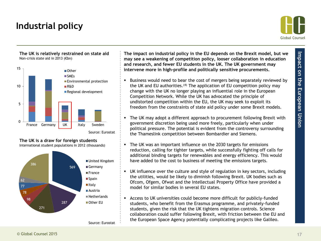# **Industrial policy**

![](_page_16_Picture_1.jpeg)

![](_page_16_Figure_3.jpeg)

![](_page_16_Figure_4.jpeg)

![](_page_16_Figure_5.jpeg)

![](_page_16_Figure_6.jpeg)

**The impact on industrial policy in the EU depends on the Brexit model, but we may see a weakening of competition policy, looser collaboration in education and research, and fewer EU students in the UK. The UK government may intervene more in high-profile and politically sensitive procurements.** 

- Business would need to bear the cost of mergers being separately reviewed by the UK and EU authorities.<sup>(4)</sup> The application of EU competition policy may change with the UK no longer playing an influential role in the European Competition Network. While the UK has advocated the principle of undistorted competition within the EU, the UK may seek to exploit its freedom from the constraints of state aid policy under some Brexit models.
- The UK may adopt a different approach to procurement following Brexit with government discretion being used more freely, particularly when under political pressure. The potential is evident from the controversy surrounding the Thameslink competition between Bombardier and Siemens.
- The UK was an important influence on the 2030 targets for emissions reduction, calling for tighter targets, while successfully fighting off calls for additional binding targets for renewables and energy efficiency. This would have added to the cost to business of meeting the emissions targets.
- UK influence over the culture and style of regulation in key sectors, including the utilities, would be likely to diminish following Brexit. UK bodies such as Ofcom, Ofgem, Ofwat and the Intellectual Property Office have provided a model for similar bodies in several EU states.
- Access to UK universities could become more difficult for publicly-funded students, who benefit from the Erasmus programme, and privately-funded students, given the risk that the UK tightens migration controls. Science collaboration could suffer following Brexit, with friction between the EU and the European Space Agency potentially complicating projects like Galileo.

Source: Eurostat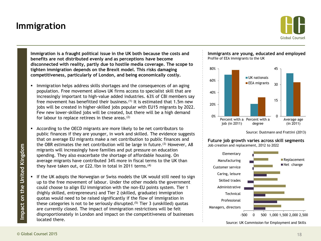# **Immigration**

![](_page_17_Picture_1.jpeg)

**Immigration is a fraught political issue in the UK both because the costs and benefits are not distributed evenly and as perceptions have become disconnected with reality, partly due to hostile media coverage. The scope to tighten immigration depends on the Brexit model. This risks damaging competitiveness, particularly of London, and being economically costly.**

- **IMMI** Immigration helps address skills shortages and the consequences of an aging population. Free movement allows UK firms access to specialist skill that are increasingly important to high-value added industries. 63% of CBI members say free movement has benefitted their business.<sup>(1)</sup> It is estimated that 1.5m new jobs will be created in higher-skilled jobs popular with EU15 migrants by 2022. Few new lower-skilled jobs will be created, but there will be a high demand for labour to replace retirees in these areas. $(2)$
- According to the OECD migrants are more likely to be net contributors to public finances if they are younger, in work and skilled. The evidence suggests that on average EU migrants make a net contribution to public finances and the OBR estimates the net contribution will be large in future.<sup>(3)</sup> However, A8 migrants will increasingly have families and put pressure on education spending. They also exacerbate the shortage of affordable housing. On average migrants have contributed 34% more in fiscal terms to the UK than they have taken out, or £22.1bn in total in 2011 terms.<sup>(4)</sup>
- If the UK adopts the Norwegian or Swiss models the UK would still need to sign up to the free movement of labour. Under the other models the government could choose to align EU immigration with the non-EU points system. Tier 1 (highly skilled, entrepreneurs) and Tier 2 (skilled, graduate) immigration quotas would need to be raised significantly if the flow of immigration in these categories is not to be seriously disrupted.<sup>(5)</sup> Tier 3 (unskilled) quotas are currently closed. The impact of immigration restrictions will be felt disproportionately in London and impact on the competitiveness of businesses located there.

#### **Immigrants are young, educated and employed** Profile of EEA immigrants to the UK

![](_page_17_Figure_7.jpeg)

Source: Dustmann and Frattini (2013)

**Future job growth varies across skill segments** Job creation and replacement, 2012 to 2022

![](_page_17_Figure_10.jpeg)

Source: UK Commission for Employment and Skills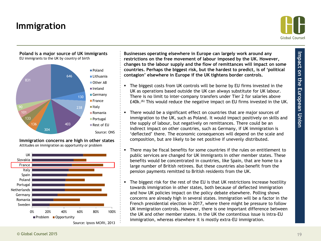# **Immigration**

![](_page_18_Picture_1.jpeg)

![](_page_18_Figure_3.jpeg)

**Immigration concerns are high in other states** Attitudes on immigration as opportunity or problem

![](_page_18_Figure_5.jpeg)

**Businesses operating elsewhere in Europe can largely work around any restrictions on the free movement of labour imposed by the UK. However, changes to the labour supply and the flow of remittances will impact on some countries. Perhaps the biggest risk, but the hardest to predict, is of 'political contagion' elsewhere in Europe if the UK tightens border controls.**

- The biggest costs from UK controls will be borne by EU firms invested in the UK as operations based outside the UK can always substitute for UK labour. There is no limit to inter-company transfers under Tier 2 for salaries above £40k.(6) This would reduce the negative impact on EU firms invested in the UK.
- There would be a significant effect on countries that are major sources of immigration to the UK, such as Poland. It would impact positively on skills and the supply of labour, but negatively on remittances. There could be an indirect impact on other countries, such as Germany, if UK immigration is 'deflected' there. The economic consequences will depend on the scale and composition, but are likely to be net positive if unevenly distributed.
- There may be fiscal benefits for some countries if the rules on entitlement to public services are changed for UK immigrants in other member states. These benefits would be concentrated in countries, like Spain, that are home to a large number of British retirees. But these countries also benefit from the pension payments remitted to British residents from the UK.
- The biggest risk for the rest of the EU is that UK restrictions increase hostility towards immigration in other states, both because of deflected immigration and how UK policies impact on the policy debate elsewhere. Polling shows concerns are already high in several states. Immigration will be a factor in the French presidential election in 2017, where there might be pressure to follow UK immigration controls. However, there is one important difference between the UK and other member states. In the UK the contentious issue is intra-EU immigration, whereas elsewhere it is mostly extra-EU immigration.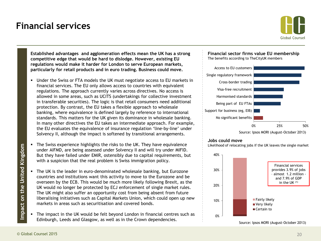### **Financial services**

![](_page_19_Picture_1.jpeg)

**Established advantages and agglomeration effects mean the UK has a strong competitive edge that would be hard to dislodge. However, existing EU regulations would make it harder for London to serve European markets, particularly for retail products and in euro trading. Business could move.**

- Under the Swiss or FTA models the UK must negotiate access to EU markets in financial services. The EU only allows access to countries with equivalent regulations. The approach currently varies across directives. No access is allowed in some areas, such as UCITS (undertakings for collective investment in transferable securities). The logic is that retail consumers need additional protection. By contrast, the EU takes a flexible approach to wholesale banking, where equivalence is defined largely by reference to international standards. This matters for the UK given its dominance in wholesale banking. In many other directives the EU takes an intermediate approach. For example, the EU evaluates the equivalence of insurance regulation 'line-by-line' under Solvency II, although the impact is softened by transitional arrangements.
- The Swiss experience highlights the risks to the UK. They have equivalence under AIFMD, are being assessed under Solvency II and will try under MIFID. But they have failed under EMIR, ostensibly due to capital requirements, but with a suspicion that the real problem is Swiss immigration policy.
- The UK is the leader in euro-denominated wholesale banking, but Eurozone countries and institutions want this activity to move to the Eurozone and be overseen by the ECB. This would be much more likely following Brexit, as the UK would no longer be protected by ECJ enforcement of single market rules. The UK might also suffer an opportunity cost from being absent from future liberalising initiatives such as Capital Markets Union, which could open up new markets in areas such as securitisation and covered bonds.
- The impact in the UK would be felt beyond London in financial centres such as Edinburgh, Leeds and Glasgow, as well as in the Crown dependencies.

![](_page_19_Figure_7.jpeg)

The benefits according to TheCityUK members

![](_page_19_Figure_9.jpeg)

#### **Jobs could move**

Likelihood of relocating jobs if the UK leaves the single market

![](_page_19_Figure_12.jpeg)

Source: Ipsos MORI (August-October 2013)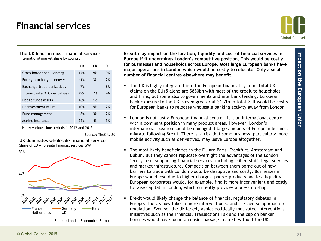### **Financial services**

![](_page_20_Picture_1.jpeg)

#### **The UK leads in most financial services**

International market share by country

|                               | UK  | FR | DE |
|-------------------------------|-----|----|----|
| Cross-border bank lending     | 17% | 9% | 9% |
| Foreign exchange turnover     | 41% | 3% | 2% |
| Exchange-trade derivatives    | 7%  |    | 8% |
| Interest rate OTC derivatives | 49% | 7% | 4% |
| Hedge funds assets            | 18% | 1% |    |
| PE investment value           | 10% | 5% | 2% |
| Fund management               | 8%  | 3% | 2% |
| Marine insurance              | 72% | 4% | 5% |

Note: various time periods in 2012 and 2013

Source: TheCityUK

![](_page_20_Figure_7.jpeg)

![](_page_20_Figure_8.jpeg)

Source: London Economics, Eurostat

**Brexit may impact on the location, liquidity and cost of financial services in Europe if it undermines London's competitive position. This would be costly for businesses and households across Europe. Most large European banks have major operations in London which would be costly to relocate. Only a small number of financial centres elsewhere may benefit.**

- The UK is highly integrated into the European financial system. Total UK claims on the EU15 alone are \$880bn with most of the credit to households and firms, but some also to governments and interbank lending. European bank exposure to the UK is even greater at \$1.7tn in total.<sup>(2)</sup> It would be costly for European banks to relocate wholesale banking activity away from London.
- London is not just a European financial centre it is an international centre with a dominant position in many product areas. However, London's international position could be damaged if large amounts of European business migrate following Brexit. There is a risk that some business, particularly more mobile activity such as derivatives, may leave Europe altogether.
- The most likely beneficiaries in the EU are Paris, Frankfurt, Amsterdam and Dublin. But they cannot replicate overnight the advantages of the London 'ecosystem' supporting financial services, including skilled staff, legal services and market infrastructure. Competition between them borne out of new barriers to trade with London would be disruptive and costly. Businesses in Europe would lose due to higher charges, poorer products and less liquidity. European corporates would, for example, find it more inconvenient and costly to raise capital in London, which currently provides a one-stop shop.
- Brexit would likely change the balance of financial regulatory debates in Europe. The UK now takes a more interventionist and risk-averse approach to regulation. Even so, the UK largely avoids politically-motivated interventions. Initiatives such as the Financial Transactions Tax and the cap on banker bonuses would have found an easier passage in an EU without the UK.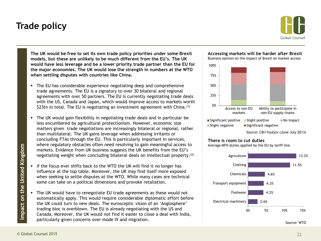# **Trade policy**

![](_page_21_Picture_1.jpeg)

**The UK would be free to set its own trade policy priorities under some Brexit models, but these are unlikely to be much different from the EU's. The UK would have less leverage and be a lower priority trade partner than the EU for the major economies. The UK would lose the strength in numbers at the WTO when settling disputes with countries like China.**

- The EU has considerable experience negotiating deep and comprehensive trade agreements. The EU is a signatory to over 30 bilateral and regional agreements with over 50 partners. The EU is currently negotiating trade deals with the US, Canada and Japan, which would improve access to markets worth \$23tn in total. The EU is negotiating an investment agreement with China.<sup>(1)</sup>
- The UK would gain flexibility in negotiating trade deals and in particular be less encumbered by agricultural protectionism. However, economic size matters given trade negotiations are increasingly bilateral or regional, rather than multilateral. The UK gains leverage when addressing irritants or concluding FTAs through the EU. This is particularly important in services, where regulatory obstacles often need resolving to gain meaningful access to markets. Evidence from UK business suggests the UK benefits from the EU's negotiating weight when concluding bilateral deals on intellectual property.(2)
- If the focus ever shifts back to the WTO the UK will find it no longer has influence at the top table. Moreover, the UK may find itself more exposed when seeking to settle disputes at the WTO. While many cases are technical some can take on a political dimensions and provoke retaliation.
- The UK would have to renegotiate EU trade agreements as these would not automatically apply. This would require considerable diplomatic effort before the UK could turn to new deals. The eurosceptic vision of an 'Anglosphere' trading bloc is overblown. The EU is already negotiating with the US and Canada. Moreover, the UK would not find it easier to close a deal with India, particularly given concerns over mode IV and migration.

![](_page_21_Figure_7.jpeg)

**Accessing markets will be harder after Brexit** Business opinion on the impact of Brexit on market access

#### **There is room to cut duties**

Average MFN duties applied by the EU by tariff line

![](_page_21_Figure_11.jpeg)

Source: WTO

Source: CBI/YouGov (June-July 2013)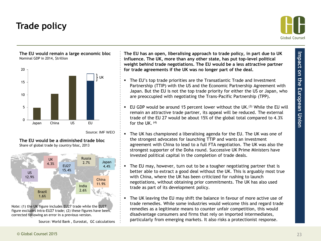# **Trade policy**

![](_page_22_Picture_1.jpeg)

**The EU would remain a large economic bloc** Nominal GDP in 2014, \$trillion

![](_page_22_Figure_3.jpeg)

Source: IMF WEO

**The EU would be a diminished trade bloc** Share of global trade by country/bloc, 2013

![](_page_22_Figure_6.jpeg)

Note: (1) the UK figure includes EU27 trade while the EU27 figure excludes intra-EU27 trade; (2) these figures have been corrected following an error in a previous version.

Source: World Bank , Eurostat, GC calculations

**The EU has an open, liberalising approach to trade policy, in part due to UK influence. The UK, more than any other state, has put top-level political weight behind trade negotiations. The EU would be a less attractive partner for trade agreements if the UK was no longer part of the deal.**

- The EU's top trade priorities are the Transatlantic Trade and Investment Partnership (TTIP) with the US and the Economic Partnership Agreement with Japan. But the EU is not the top trade priority for either the US or Japan, who are preoccupied with negotiating the Trans-Pacific Partnership (TPP).
- EU GDP would be around 15 percent lower without the UK.<sup>(3)</sup> While the EU will remain an attractive trade partner, its appeal will be reduced. The external trade of the EU 27 would be about 15% of the global total compared to 4.3% for the UK.  $(4)$
- The UK has championed a liberalising agenda for the EU. The UK was one of the strongest advocates for launching TTIP and wants an investment agreement with China to lead to a full FTA negotiation. The UK was also the strongest supporter of the Doha round. Successive UK Prime Ministers have invested political capital in the completion of trade deals.
- The EU may, however, turn out to be a tougher negotiating partner that is better able to extract a good deal without the UK. This is arguably most true with China, where the UK has been criticized for rushing to launch negotiations, without obtaining prior commitments. The UK has also used trade as part of its development policy.
- The UK leaving the EU may shift the balance in favour of more active use of trade remedies. While some industries would welcome this and regard trade remedies as a legitimate means to counter unfair competition, this would disadvantage consumers and firms that rely on imported intermediates, particularly from emerging markets. It also risks a protectionist response.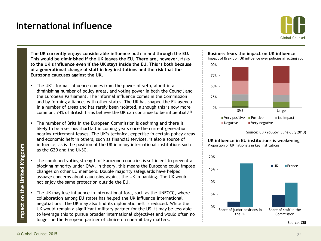### **International influence**

![](_page_23_Picture_1.jpeg)

**The UK currently enjoys considerable influence both in and through the EU. This would be diminished if the UK leaves the EU. There are, however, risks to the UK's influence even if the UK stays inside the EU. This is both because of a generational change of staff in key institutions and the risk that the Eurozone caucuses against the UK.**

- The UK's formal influence comes from the power of veto, albeit in a diminishing number of policy areas, and voting power in both the Council and the European Parliament. The informal influence comes in the Commission and by forming alliances with other states. The UK has shaped the EU agenda in a number of areas and has rarely been isolated, although this is now more common. 74% of British firms believe the UK can continue to be influential.(1)
- The number of Brits in the European Commission is declining and there is likely to be a serious shortfall in coming years once the current generation nearing retirement leaves. The UK's technical expertise in certain policy areas and economic heft in others, such as financial services, is also a source of influence, as is the position of the UK in many international institutions such as the G20 and the UNSC.
- The combined voting strength of Eurozone countries is sufficient to prevent a blocking minority under QMV. In theory, this means the Eurozone could impose changes on other EU members. Double majority safeguards have helped assuage concerns about caucusing against the UK in banking. The UK would not enjoy the same protection outside the EU.
- The UK may lose influence in international fora, such as the UNFCCC, where collaboration among EU states has helped the UK influence international negotiations. The UK may also find its diplomatic heft is reduced. While the UK would remain a significant military partner for the US, it may be less able to leverage this to pursue broader international objectives and would often no longer be the European partner of choice on non-military matters.

![](_page_23_Figure_7.jpeg)

Impact of Brexit on UK influence over policies affecting you

![](_page_23_Figure_9.jpeg)

Source: CBI/YouGov (June-July 2013)

![](_page_23_Figure_11.jpeg)

**UK influence in EU institutions is weakening** Proportion of UK nationals in key institutions

Source: CBI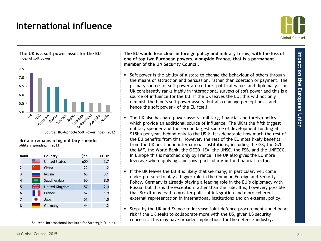### **International influence**

![](_page_24_Picture_1.jpeg)

**The UK is a soft power asset for the EU** Index of soft power

![](_page_24_Figure_4.jpeg)

Source: IfG-Monocle Soft Power Index, 2012

**Britain remains a big military spender** Military spending in 2013

| Rank |     | Country               | \$bn | %GDP |
|------|-----|-----------------------|------|------|
|      |     | <b>United States</b>  | 600  | 3.7  |
| 2    |     | China                 | 122  | 1.2  |
| 3    |     | <b>Russia</b>         | 68   | 3.1  |
| 4    | ,,, | Saudi Arabia          | 60   | 8.0  |
| 5    | ≋   | <b>United Kingdom</b> | 57   | 2.4  |
| 6    |     | France                | 52   | 1.9  |
|      |     | Japan                 | 51   | 1.0  |
| 8    |     | Germany               | 44   | 1.2  |

Source: International Institute for Strategic Studies

**The EU would lose clout in foreign policy and military terms, with the loss of one of top two European powers, alongside France, that is a permanent member of the UN Security Council.**

- Soft power is the ability of a state to change the behaviour of others through the means of attraction and persuasion, rather than coercion or payment. The primary sources of soft power are culture, political values and diplomacy. The UK consistently ranks highly in international surveys of soft power and this is a source of influence for the EU. If the UK leaves the EU, this will not only diminish the bloc's soft power assets, but also damage perceptions – and hence the soft power - of the EU itself.
- The UK also has hard power assets military, financial and foreign policy which provide an additional source of influence. The UK is the fifth biggest military spender and the second largest source of development funding at \$18bn per year, behind only to the US.<sup>(2)</sup> It is debatable how much the rest of the EU benefits from this. However, the rest of the EU most likely benefits from the UK position in international institutions, including the G8, the G20, the IMF, the World Bank, the OECD, IEA, the UNSC, the FSB, and the UNFCCC. In Europe this is matched only by France. The UK also gives the EU more leverage when applying sanctions, particularly in the financial sector.
- If the UK leaves the EU it is likely that Germany, in particular, will come under pressure to play a bigger role in the Common Foreign and Security Policy. Germany is already playing a leading role in the EU's diplomacy with Russia, but this is the exception rather than the rule. It is, however, possible that Brexit may lead to greater political integration and more coherent external representation in international institutions and on external policy.
- Steps by the UK and France to increase joint defence procurement could be at risk if the UK seeks to collaborate more with the US, given US security concerns. This may have broader implications for the defence industry.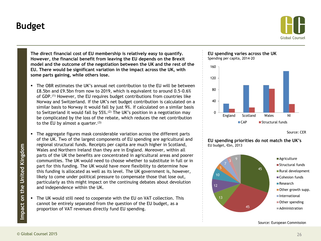### **Budget**

![](_page_25_Picture_1.jpeg)

**The direct financial cost of EU membership is relatively easy to quantify. However, the financial benefit from leaving the EU depends on the Brexit model and the outcome of the negotiation between the UK and the rest of the EU. There would be significant variation in the impact across the UK, with some parts gaining, while others lose.**

- The OBR estimates the UK's annual net contribution to the EU will be between £8.5bn and £9.5bn from now to 2019, which is equivalent to around 0.5-0.6% of GDP.(1) However, the EU requires budget contributions from countries like Norway and Switzerland. If the UK's net budget contribution is calculated on a similar basis to Norway it would fall by just 9%. If calculated on a similar basis to Switzerland it would fall by 55%.(2) The UK's position in a negotiation may be complicated by the loss of the rebate, which reduces the net contribution to the EU by almost a quarter. $(3)$
- The aggregate figures mask considerable variation across the different parts of the UK. Two of the largest components of EU spending are agricultural and regional structural funds. Receipts per capita are much higher in Scotland, Wales and Northern Ireland than they are in England. Moreover, within all parts of the UK the benefits are concentrated in agricultural areas and poorer communities. The UK would need to choose whether to substitute in full or in part for this funding. The UK would have more flexibility to determine how this funding is allocated as well as its level. The UK government is, however, likely to come under political pressure to compensate those that lose out, particularly as this might impact on the continuing debates about devolution and independence within the UK.
- The UK would still need to cooperate with the EU on VAT collection. This cannot be entirely separated from the question of the EU budget, as a proportion of VAT revenues directly fund EU spending.

![](_page_25_Figure_6.jpeg)

![](_page_25_Figure_7.jpeg)

Source: CER

**EU spending priorities do not match the UK's** EU budget, €bn, 2013

![](_page_25_Figure_10.jpeg)

Source: European Commission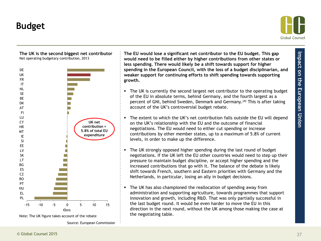### **Budget**

![](_page_26_Picture_1.jpeg)

![](_page_26_Figure_2.jpeg)

**The UK is the second biggest net contributor**

Note: The UK figure takes account of the rebate

Source: European Commission

**The EU would lose a significant net contributor to the EU budget. This gap would need to be filled either by higher contributions from other states or less spending. There would likely be a shift towards support for higher spending in the European Council, with the loss of a budget disciplinarian, and weaker support for continuing efforts to shift spending towards supporting growth.**

- The UK is currently the second largest net contributor to the operating budget of the EU in absolute terms, behind Germany, and the fourth largest as a percent of GNI, behind Sweden, Denmark and Germany.(4) This is after taking account of the UK's controversial budget rebate.
- The extent to which the UK's net contribution falls outside the EU will depend on the UK's relationship with the EU and the outcome of financial negotiations. The EU would need to either cut spending or increase contributions by other member states, up to a maximum of 5.8% of current levels, in order to make up the difference.
- The UK strongly opposed higher spending during the last round of budget negotiations. If the UK left the EU other countries would need to step up their pressure to maintain budget discipline, or accept higher spending and the increased contributions that go with it. The balance of the debate is likely shift towards French, southern and Eastern priorities with Germany and the Netherlands, in particular, losing an ally in budget decisions.
- The UK has also championed the reallocation of spending away from administration and supporting agriculture, towards programmes that support innovation and growth, including R&D. That was only partially successful in the last budget round. It would be even harder to move the EU in this direction in the next round, without the UK among those making the case at the negotiating table.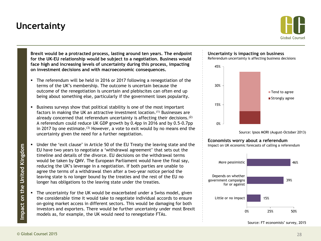### **Uncertainty**

![](_page_27_Picture_1.jpeg)

**Brexit would be a protracted process, lasting around ten years. The endpoint for the UK-EU relationship would be subject to a negotiation. Business would face high and increasing levels of uncertainty during this process, impacting on investment decisions and with macroeconomic consequences.**

- The referendum will be held in 2016 or 2017 following a renegotiation of the terms of the UK's membership. The outcome is uncertain because the outcome of the renegotiation is uncertain and plebiscites can often end up being about something else, particularly if the government loses popularity.
- Business surveys show that political stability is one of the most important factors in making the UK an attractive investment location.(1) Businesses are already concerned that referendum uncertainty is affecting their decisions.(2) A referendum could reduce UK GDP growth by 0.4pp in 2016 and by 0.5-0.7pp in 2017 by one estimate.<sup>(3)</sup> However, a vote to exit would by no means end the uncertainty given the need for a further negotiation.
- Under the 'exit clause' in Article 50 of the EU Treaty the leaving state and the EU have two years to negotiate a 'withdrawal agreement' that sets out the timeline and details of the divorce. EU decisions on the withdrawal terms would be taken by QMV. The European Parliament would have the final say, reducing the UK's leverage in a negotiation. If both parties are unable to agree the terms of a withdrawal then after a two-year notice period the leaving state is no longer bound by the treaties and the rest of the EU no longer has obligations to the leaving state under the treaties.
- The uncertainty for the UK would be exacerbated under a Swiss model, given the considerable time it would take to negotiate individual accords to ensure on-going market access in different sectors. This would be damaging for both investors and exporters. There would be further uncertainty under most Brexit models as, for example, the UK would need to renegotiate FTAs.

![](_page_27_Figure_7.jpeg)

Referendum uncertainty is affecting business decisions

![](_page_27_Figure_9.jpeg)

Source: Ipsos MORI (August-October 2013)

#### **Economists worry about a referendum**

Impact on UK economic forecasts of calling a referendum

![](_page_27_Figure_13.jpeg)

Source: FT economists' survey, 2015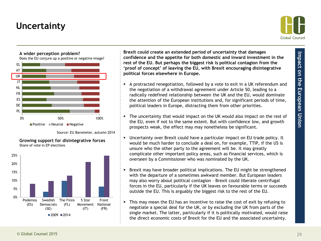# **Uncertainty**

![](_page_28_Picture_1.jpeg)

![](_page_28_Figure_3.jpeg)

Does the EU conjure up a positive or negative image?

![](_page_28_Figure_5.jpeg)

Source: EU Barometer, autumn 2014

![](_page_28_Figure_7.jpeg)

**Growing support for disintegrative forces** Share of vote in EP elections

**Brexit could create an extended period of uncertainty that damages confidence and the appetite for both domestic and inward investment in the rest of the EU. But perhaps the biggest risk is political contagion from the 'proof of concept' of leaving the EU, with Brexit encouraging disintegrative political forces elsewhere in Europe.**

- A protracted renegotiation, followed by a vote to exit in a UK referendum and the negotiation of a withdrawal agreement under Article 50, leading to a radically redefined relationship between the UK and the EU, would dominate the attention of the European institutions and, for significant periods of time, political leaders in Europe, distracting them from other priorities.
- The uncertainty that would impact on the UK would also impact on the rest of the EU, even if not to the same extent. But with confidence low, and growth prospects weak, the effect may may nonetheless be significant.
- Uncertainty over Brexit could have a particular impact on EU trade policy. It would be much harder to conclude a deal on, for example, TTIP, if the US is unsure who the other party to the agreement will be. It may greatly complicate other important policy areas, such as financial services, which is overseen by a Commissioner who was nominated by the UK.
- **Brexit may have broader political implications. The EU might be strengthened** with the departure of a sometimes awkward member. But European leaders may also worry about political contagion – Brexit could liberate centrifugal forces in the EU, particularly if the UK leaves on favourable terms or succeeds outside the EU. This is arguably the biggest risk to the rest of the EU.
- This may mean the EU has an incentive to raise the cost of exit by refusing to negotiate a special deal for the UK, or by excluding the UK from parts of the single market. The latter, particularly if it is politically motivated, would raise the direct economic costs of Brexit for the EU and the associated uncertainty.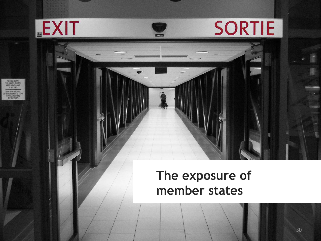![](_page_29_Picture_0.jpeg)

# **The exposure of member states**

30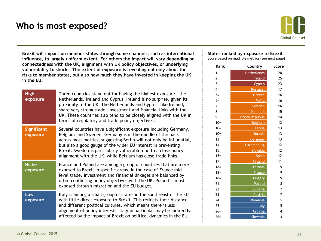### **Who is most exposed?**

![](_page_30_Picture_1.jpeg)

**Brexit will impact on member states through some channels, such as international influence, to largely uniform extent. For others the impact will vary depending on connectedness with the UK, alignment with UK policy objectives, or underlying vulnerability to shocks. The extent of exposure is revealing not only about the risks to member states, but also how much they have invested in keeping the UK in the EU.**

| <b>High</b><br>exposure        | Three countries stand out for having the highest exposure - the<br>Netherlands, Ireland and Cyprus. Ireland is no surprise, given its<br>proximity to the UK. The Netherlands and Cyprus, like Ireland,<br>share very strong trade, investment and financial links with the<br>UK. These countries also tend to be closely aligned with the UK in<br>terms of regulatory and trade policy objectives.  |
|--------------------------------|--------------------------------------------------------------------------------------------------------------------------------------------------------------------------------------------------------------------------------------------------------------------------------------------------------------------------------------------------------------------------------------------------------|
| <b>Significant</b><br>exposure | Several countries have a significant exposure including Germany,<br>Belgium and Sweden. Germany is in the middle of the pack<br>across most metrics, suggesting Berlin will not only be influential,<br>but also a good gauge of the wider EU interest in preventing<br>Brexit. Sweden is particularly vulnerable due to a close policy<br>alignment with the UK, while Belgium has close trade links. |
| <b>Niche</b><br>exposure       | France and Poland are among a group of countries that are more<br>exposed to Brexit in specific areas. In the case of France mid-<br>level trade, investment and financial linkages are balanced by<br>often conflicting policy objectives with the UK. Poland is most<br>exposed through migration and the EU budget.                                                                                 |
| Low<br>exposure                | Italy is among a small group of states in the south-east of the EU<br>with little direct exposure to Brexit. This reflects their distance<br>and different political cultures, which means there is less<br>alignment of policy interests. Italy in particular may be indirectly<br>affected by the impact of Brexit on political dynamics in the EU.                                                  |

### **States ranked by exposure to Brexit**

Score based on multiple metrics (see next page)

| Rank   | Country               | Score |
|--------|-----------------------|-------|
| 1      | <b>Netherlands</b>    | 28    |
| 2      | <b>Ireland</b>        | 25    |
| 3      | <b>Cyprus</b>         | 23    |
| 4      | Portugal              | 17    |
| $5=$   | Greece                | 16    |
| $5=$   | Malta                 | 16    |
| 7      | Sweden                | 16    |
| 8      | <b>Denmark</b>        | 15    |
| 9      | <b>Czech Republic</b> | 14    |
| $10=$  | <b>Belgium</b>        | 13    |
| $10=$  | Latvia                | 13    |
| $10=$  | Lithuania             | 13    |
| 13     | Germany               | 13    |
| 14     | Luxembourg            | 12    |
| $15=$  | Slovakia              | 12    |
| $15 =$ | <b>Spain</b>          | 12    |
| 17     | <b>Finland</b>        | 11    |
| $18 =$ | Estonia               | 9     |
| $18 =$ | France                | 9     |
| $18 =$ | <b>Hungary</b>        | 9     |
| 21     | Poland                | 8     |
| 22     | <b>Bulgaria</b>       | 7     |
| 23     | <b>Austria</b>        | 7     |
| 24     | Romania               | 5     |
| 25     | <b>Italy</b>          | 5     |
| $26 =$ | Croatia               | 4     |
| $26=$  | Slovenia              | 4     |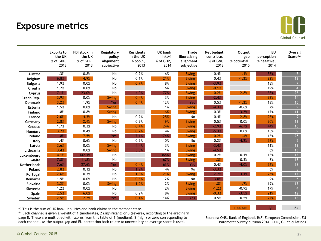### **Exposure metrics**

![](_page_31_Picture_1.jpeg)

|                    | <b>Exports to</b><br>the UK<br>% of GDP,<br>2013 | FDI stock in<br>the UK<br>% of GDP,<br>2013 | Regulatory<br>policy<br>alignment<br>subjective | <b>Residents</b><br>in the UK<br>% popln,<br>2013 | <b>UK bank</b><br>$links^{(a)}$<br>% of GDP,<br>2014 | <b>Trade</b><br>liberalising<br>alignment<br>subjective | Net budget<br>contribtn.<br>% of GNI,<br>2013 | Output<br>gap<br>% potential,<br>2015 | <b>EU</b><br>perception<br>% negative,<br>2014 | <b>Overall</b><br>Score(b) |
|--------------------|--------------------------------------------------|---------------------------------------------|-------------------------------------------------|---------------------------------------------------|------------------------------------------------------|---------------------------------------------------------|-----------------------------------------------|---------------------------------------|------------------------------------------------|----------------------------|
| <b>Austria</b>     | 1.3%                                             | 0.8%                                        | No                                              | 0.2%                                              | 6%                                                   | <b>Swing</b>                                            | 0.4%                                          | $-1.1%$                               | 36%                                            | $\overline{7}$             |
| <b>Belgium</b>     | 6.8%                                             | 4.9%                                        | No                                              | 0.1%                                              | 21%                                                  | <b>Swing</b>                                            | 0.4%                                          | $-1.2%$                               | 22%                                            | $\overline{13}$            |
| <b>Bulgaria</b>    | 1.9%                                             | 0.0%                                        | No                                              | 0.7%                                              | 8%                                                   | <b>Swing</b>                                            | $-3.9%$                                       |                                       | 18%                                            | $\overline{7}$             |
| Croatia            | 1.2%                                             | 0.0%                                        | No                                              |                                                   | 6%                                                   | <b>Swing</b>                                            | $-0.1%$                                       |                                       | 19%                                            | $\overline{4}$             |
| Cyprus             | 7.1%                                             | 23.0%                                       | No                                              | 4.0%                                              | 77%                                                  | <b>Swing</b>                                            | $-0.2%$                                       | $-2.8%$                               | 38%                                            | 23                         |
| Czech Rep.         | 3.9%                                             | 0.0%                                        | <b>Swing</b>                                    | 0.4%                                              | 3%                                                   | <b>Swing</b>                                            | $-2.4%$                                       |                                       | 22%                                            | $\overline{14}$            |
| <b>Denmark</b>     | 3.2%                                             | 1.9%                                        | <b>Yes</b>                                      | 0.4%                                              | 12%                                                  | Yes:                                                    | 0.5%                                          | $-1.2%$                               | 18%                                            | 15                         |
| <b>Estonia</b>     | 1.5%                                             | 0.0%                                        | <b>Swing</b>                                    |                                                   | 1%                                                   | <b>Swing</b>                                            | $-4.3%$                                       | $-0.6%$                               | 7%                                             | $\overline{9}$             |
| <b>Finland</b>     | 1.8%                                             | 0.8%                                        | <b>Swing</b>                                    |                                                   | 16%                                                  | <b>Swing</b>                                            | 0.3%                                          | $-3.2%$                               | 17%                                            | 11                         |
| France             | 2.0%                                             | 4.3%                                        | No                                              | 0.2%                                              | 25%                                                  | <b>No</b>                                               | 0.4%                                          | $-2.8%$                               | 23%                                            | 9                          |
| Germany            | 2.8%                                             | 2.4%                                        | <b>Swing</b>                                    | 0.2%                                              | 19%                                                  | <b>Swing</b>                                            | 0.5%                                          | 0.0%                                  | 20%                                            | 13                         |
| Greece             | 1.7%                                             | 0.3%                                        | No                                              | 0.4%                                              | 24%                                                  | <b>Swing</b>                                            | $-2.9%$                                       | $-6.7%$                               | 44%                                            | 16                         |
| Hungary            | 3.7%                                             | 0.4%                                        | No                                              | 0.7%                                              | 4%                                                   | <b>Swing</b>                                            | $-5.3%$                                       | 0.0%                                  | 18%                                            | $\overline{9}$             |
| Ireland            | 11.8%                                            | 7.5%                                        | Yes                                             | 7.1%                                              | 174%                                                 | <b>Swing</b>                                            | $-0.2%$                                       | $-1.4%$                               | 16%                                            | 25                         |
| Italy              | 1.4%                                             | 0.6%                                        | No                                              | 0.2%                                              | 10%                                                  | No                                                      | 0.2%                                          | $-4.2%$                               | 28%                                            | $\overline{5}$             |
| Latvia             | 3.6%                                             | 0.0%                                        | <b>Swing</b>                                    | 4.4%                                              | 3%                                                   | <b>Swing</b>                                            | $-3.4%$                                       |                                       | 11%                                            | 13                         |
| Lithuania          | 3.4%                                             | 0.0%                                        | <b>Swing</b>                                    | 5.3%                                              | 1%                                                   | <b>Swing</b>                                            | $-4.5%$                                       |                                       | 6%                                             | 13                         |
| Luxembourg         | 4.1%                                             | 142.1%                                      | No                                              |                                                   | 365%                                                 | <b>Swing</b>                                            | 0.2%                                          | $-0.1%$                               | 16%                                            | 12                         |
| Malta              | 7.8%                                             | 11.8%                                       | No                                              |                                                   | 67%                                                  | <b>Swing</b>                                            | $-1.3%$                                       | 0.3%                                  | 8%                                             | $\overline{16}$            |
| <b>Netherlands</b> | 7.6%                                             | 27.6%                                       | <b>Yes</b>                                      | 0.4%                                              | 63%                                                  | Yes                                                     | 0.4%                                          | $-4.0%$                               | 26%                                            | 28                         |
| Poland             | 2.8%                                             | 0.1%                                        | No                                              | 1.9%                                              | 4%                                                   | No                                                      | $-3.3%$                                       |                                       | 6%                                             | $\overline{8}$             |
| Portugal           | 2.6%                                             | 0.3%                                        | No                                              | 1.3%                                              | 21%                                                  | <b>Swing</b>                                            | $-2.7%$                                       | $-3.1%$                               | 25%                                            | 17                         |
| Romania            | 1.5%                                             | 0.0%                                        | No                                              | 0.6%                                              | 2%                                                   | No                                                      | $-3.0%$                                       |                                       | 9%                                             | 5 <sup>1</sup>             |
| Slovakia           | 3.2%                                             | 0.0%                                        | <b>Swing</b>                                    | 1.0%                                              | 2%                                                   | <b>Swing</b>                                            | $-1.8%$                                       | $-1.7%$                               | 19%                                            | 12                         |
| Slovenia           | 1.2%                                             | 0.0%                                        | No                                              |                                                   | 2%                                                   | <b>Swing</b>                                            | $-1.2%$                                       | $-0.9%$                               | 17%                                            | $\overline{4}$             |
| Spain              | 2.5%                                             | 6.0%                                        | No                                              | 0.2%                                              | 8%                                                   | <b>Swing</b>                                            | $-0.3%$                                       | $-3.5%$                               | 21%                                            | 12                         |
| Sweden             | 2.5%                                             | 2.2%                                        | Yes                                             | 0.4%                                              | 14%                                                  | <b>Yes</b>                                              | 0.5%                                          | $-0.5%$                               | 22%                                            | 16                         |

(a) This is the sum of UK bank liabilities and bank claims in the member state.

(b) Each channel is given a weight of 1 (moderate), 2 (significant) or 3 (severe), according to the grading in page 8. These are multiplied with scores from this table of 1 (medium), 2 (high) or zero corresponding to each channel. As the output gap and EU perception both relate to uncertainty an average score is used.

Sources: ONS, Bank of England, IMF, European Commission, EU Barometer Survey autumn 2014, CEIC, GC calculations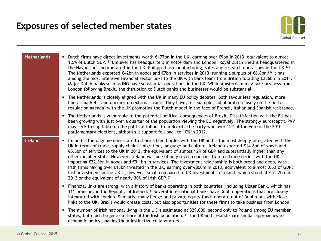![](_page_32_Picture_1.jpeg)

| <b>Netherlands</b> | Dutch firms have direct investments worth €177bn in the UK, earning over €9bn in 2013, equivalent to almost<br>1.5% of Dutch GDP. <sup>(1)</sup> Unilever has headquarters in Rotterdam and London. Royal Dutch Shell is headquartered in<br>the Hague, but incorporated in the UK. Philipps has manufacturing, sales and research operations in the UK. <sup>(2)</sup><br>The Netherlands exported $\epsilon$ 42bn in goods and $\epsilon$ 7bn in services in 2013, running a surplus of $\epsilon$ 6.8bn. <sup>(3)</sup> It has<br>among the most intensive financial sector links to the UK with bank loans from Britain totalling €236bn in 2014. <sup>(4)</sup><br>Major Dutch banks such as ING have substantial operations in the UK. While Amsterdam may take business from<br>London following Brexit, the disruption to Dutch banks and businesses would be substantial.                                    |
|--------------------|-----------------------------------------------------------------------------------------------------------------------------------------------------------------------------------------------------------------------------------------------------------------------------------------------------------------------------------------------------------------------------------------------------------------------------------------------------------------------------------------------------------------------------------------------------------------------------------------------------------------------------------------------------------------------------------------------------------------------------------------------------------------------------------------------------------------------------------------------------------------------------------------------------------------------|
|                    | The Netherlands is closely aligned with the UK in many EU policy debates. Both favour less regulation, more<br>٠<br>liberal markets, and opening up external trade. They have, for example, collaborated closely on the better<br>regulation agenda, with the UK promoting the Dutch model in the face of French, Italian and Spanish resistance.                                                                                                                                                                                                                                                                                                                                                                                                                                                                                                                                                                     |
|                    | The Netherlands is vulnerable to the potential political consequences of Brexit. Dissatisfaction with the EU has<br>٠<br>been growing with just over a quarter of the population viewing the EU negatively. The strongly eurosceptic PVV<br>may seek to capitalise on the political fallout from Brexit. The party won over 15% of the vote in the 2010<br>parliamentary elections, although is support fell back to 10% in 2012.                                                                                                                                                                                                                                                                                                                                                                                                                                                                                     |
| <b>Ireland</b>     | Ireland is the only member state to share a land border with the UK and is the most deeply integrated with the<br>$\blacksquare$<br>UK in terms of trade, supply chains, migration, language and culture. Ireland exported $\epsilon$ 14.8bn of goods and<br>€5.8bn of services to the UK in 2013, the equivalent of almost 12% of GDP and substantially higher than any<br>other member state. However, Ireland was one of only seven countries to run a trade deficit with the UK,<br>importing $\epsilon$ 22.3bn in goods and $\epsilon$ 9.1bn in services. The investment relationship is both broad and deep, with<br>Irish firms having over €13bn invested in the UK, earning over €800m in 2013, equivalent to almost 0.5% of GDP.<br>Irish investment in the UK is, however, small compared to UK investment in Ireland, which stood at €51.2bn in<br>2013 or the equivalent of nearly 30% of Irish GDP. (1) |
|                    | Financial links are strong, with a history of banks operating in both countries, including Ulster Bank, which has<br>٠<br>111 branches in the Republic of Ireland. <sup>(2)</sup> Several international banks have Dublin operations that are closely<br>integrated with London. Similarly, many hedge and private equity funds operate out of Dublin but with close<br>links to the UK. Brexit would create costs, but also opportunities for these firms to take business from London.                                                                                                                                                                                                                                                                                                                                                                                                                              |
|                    | The number of Irish national living in the UK is estimated at 329,000, second only to Poland among EU member<br>٠<br>states, but much larger as a share of the Irish population. <sup>(3)</sup> The UK and Ireland share similar approaches to<br>economic policy, making them instinctive collaborators.                                                                                                                                                                                                                                                                                                                                                                                                                                                                                                                                                                                                             |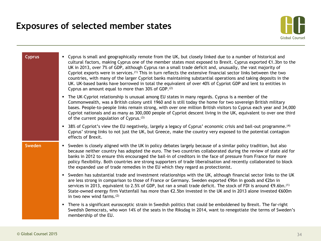![](_page_33_Picture_1.jpeg)

| <b>Cyprus</b> | • Cyprus is small and geographically remote from the UK, but closely linked due to a number of historical and<br>cultural factors, making Cyprus one of the member states most exposed to Brexit. Cyprus exported €1.3bn to the<br>UK in 2013, over 7% of GDP, although Cyprus ran a small trade deficit and, unusually, the vast majority of<br>Cypriot exports were in services. <sup>(1)</sup> This in turn reflects the extensive financial sector links between the two<br>countries, with many of the larger Cypriot banks maintaining substantial operations and taking deposits in the<br>UK. UK-based banks have borrowed in total the equivalent of over 40% of Cypriot GDP and lent to entities in<br>Cyprus an amount equal to more than 30% of GDP. <sup>(2)</sup> |
|---------------|---------------------------------------------------------------------------------------------------------------------------------------------------------------------------------------------------------------------------------------------------------------------------------------------------------------------------------------------------------------------------------------------------------------------------------------------------------------------------------------------------------------------------------------------------------------------------------------------------------------------------------------------------------------------------------------------------------------------------------------------------------------------------------|
|               | The UK-Cypriot relationship is unusual among EU states in many regards. Cyprus is a member of the<br>$\blacksquare$<br>Commonwealth, was a British colony until 1960 and is still today the home for two sovereign British military<br>bases. People-to-people links remain strong, with over one million British visitors to Cyprus each year and 34,000<br>Cypriot nationals and as many as 300,000 people of Cypriot descent living in the UK, equivalent to over one third<br>of the current population of Cyprus. <sup>(3)</sup>                                                                                                                                                                                                                                           |
|               | 38% of Cypriot's view the EU negatively, largely a legacy of Cyprus' economic crisis and bail-out programme. <sup>(4)</sup><br>$\blacksquare$<br>Cyprus' strong links to not just the UK, but Greece, make the country very exposed to the potential contagion<br>effects of Brexit.                                                                                                                                                                                                                                                                                                                                                                                                                                                                                            |
| Sweden        | • Sweden is closely aligned with the UK in policy debates largely because of a similar policy tradition, but also<br>because neither country has adopted the euro. The two countries collaborated during the review of state aid for<br>banks in 2012 to ensure this encouraged the bail-in of creditors in the face of pressure from France for more<br>policy flexibility. Both countries are strong supporters of trade liberalisation and recently collaborated to block<br>the expanded use of trade remedies in the EU which they regard as protectionist.                                                                                                                                                                                                                |
|               | • Sweden has substantial trade and investment relationships with the UK, although financial sector links to the UK<br>are less strong in comparison to those of France or Germany. Sweden exported €9bn in goods and €2bn in<br>services in 2013, equivalent to 2.5% of GDP, but ran a small trade deficit. The stock of FDI is around $\epsilon$ 9.6bn. <sup>(1)</sup><br>State-owned energy firm Vattenfall has more than €2.5bn invested in the UK and in 2013 alone invested €600m<br>in two new wind farms. $(2)$                                                                                                                                                                                                                                                          |
|               | There is a significant eurosceptic strain in Swedish politics that could be emboldened by Brexit. The far-right<br>$\blacksquare$<br>Swedish Democrats, who won 14% of the seats in the Riksdag in 2014, want to renegotiate the terms of Sweden's<br>membership of the EU.                                                                                                                                                                                                                                                                                                                                                                                                                                                                                                     |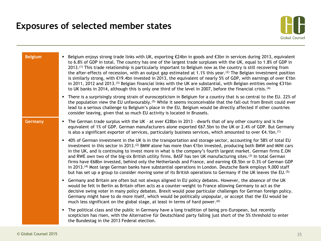![](_page_34_Picture_1.jpeg)

| <b>Belgium</b> | Belgium enjoys strong trade links with UK, exporting $\epsilon$ 24bn in goods and $\epsilon$ 3bn in services during 2013, equivalent<br>to 6.8% of GDP in total. The country has one of the largest trade surpluses with the UK, equal to 1.8% of GDP in<br>$2013$ . <sup>(1)</sup> This trade relationship is particularly important to Belgium now as the country is still recovering from<br>the after-effects of recession, with an output gap estimated at 1.1% this year. (2) The Belgian investment position<br>is similarly strong, with $\epsilon$ 19.4bn invested in 2013, the equivalent of nearly 5% of GDP, with earnings of over $\epsilon$ 1bn<br>in 2011, 2012 and 2013. <sup>(3)</sup> Belgian financial links with the UK are substantial, with Belgian entities owing $\epsilon$ 31bn<br>to UK banks in 2014, although this is only one third of the level in 2007, before the financial crisis. (4) |
|----------------|-------------------------------------------------------------------------------------------------------------------------------------------------------------------------------------------------------------------------------------------------------------------------------------------------------------------------------------------------------------------------------------------------------------------------------------------------------------------------------------------------------------------------------------------------------------------------------------------------------------------------------------------------------------------------------------------------------------------------------------------------------------------------------------------------------------------------------------------------------------------------------------------------------------------------|
|                | There is a surprisingly strong strain of euroscepticism in Belgium for a country that is so central to the EU. 22% of<br>$\blacksquare$<br>the population view the EU unfavourably. <sup>(5)</sup> While it seems inconceivable that the fall-out from Brexit could ever<br>lead to a serious challenge to Belgium's place in the EU, Belgium would be directly affected if other countries<br>consider leaving, given that so much EU activity is located in Brussels.                                                                                                                                                                                                                                                                                                                                                                                                                                                 |
| Germany        | ■ The German trade surplus with the UK - at over €28bn in 2013 - dwarfs that of any other country and is the<br>equivalent of 1% of GDP. German manufacturers alone exported €67.5bn to the UK or 2.4% of GDP. But Germany<br>is also a significant exporter of services, particularly business services, which amounted to over $\epsilon$ 4.1bn. <sup>(1)</sup>                                                                                                                                                                                                                                                                                                                                                                                                                                                                                                                                                       |
|                | • 40% of German investment in the UK is in the transportation and storage sector, accounting for 58% of total EU<br>investment in this sector in 2013. <sup>(2)</sup> BMW alone has more than €1bn invested, producing both BMW and MINI cars<br>in the UK, and is continuing to invest more in what is the company's fourth largest market. German firms E.ON<br>and RWE own two of the big-six British utility firms. BASF has ten UK manufacturing sites. (3) In total German<br>firms have €68bn invested, behind only the Netherlands and France, and earning €8.5bn or 0.3% of German GDP<br>in 2013. <sup>(4)</sup> Most large German banks have substantial operations in London. Deutsche Bank employs 9,000 staff<br>but has set up a group to consider moving some of its British operations to Germany if the UK leaves the EU. (5)                                                                         |
|                | • Germany and Britain are often but not always aligned in EU policy debates. However, the absence of the UK<br>would be felt in Berlin as Britain often acts as a counter-weight to France allowing Germany to act as the<br>decisive swing voter in many policy debates. Brexit would pose particular challenges for German foreign policy.<br>Germany might have to do more itself, which would be politically unpopular, or accept that the EU would be<br>much less significant on the global stage, at least in terms of hard power. <sup>(6)</sup>                                                                                                                                                                                                                                                                                                                                                                |
|                | The political class and the public in Germany have a long tradition of being pro-European, but recently<br>$\blacksquare$<br>scepticism has risen, with the Alternative für Deutschland party falling just short of the 5% threshold to enter<br>the Bundestag in the 2013 Federal election.                                                                                                                                                                                                                                                                                                                                                                                                                                                                                                                                                                                                                            |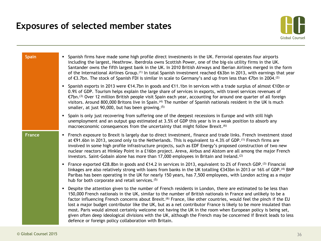![](_page_35_Picture_1.jpeg)

| <b>Spain</b>  | Spanish firms have made some high profile direct investments in the UK. Ferrovial operates four airports<br>$\blacksquare$<br>including the largest, Heathrow. Iberdrola owns Scottish Power, one of the big-six utility firms in the UK.<br>Santander owns the fifth largest bank in the UK. In 2010 British Airways and Iberian Airlines merged in the form<br>of the International Airlines Group. <sup>(1)</sup> In total Spanish investment reached €63bn in 2013, with earnings that year<br>of $\epsilon$ 3.7bn. The stock of Spanish FDI is similar in scale to Germany's and up from less than $\epsilon$ 7bn in 2004. <sup>(2)</sup>                                                                                                                                     |
|---------------|------------------------------------------------------------------------------------------------------------------------------------------------------------------------------------------------------------------------------------------------------------------------------------------------------------------------------------------------------------------------------------------------------------------------------------------------------------------------------------------------------------------------------------------------------------------------------------------------------------------------------------------------------------------------------------------------------------------------------------------------------------------------------------|
|               | Spanish exports in 2013 were $\epsilon$ 14.7bn in goods and $\epsilon$ 11.1bn in services with a trade surplus of almost $\epsilon$ 10bn or<br>٠<br>0.9% of GDP. Tourism helps explain the large share of services in exports, with travel services revenues of<br>$\epsilon$ Tbn. <sup>(3)</sup> Over 12 million British people visit Spain each year, accounting for around one quarter of all foreign<br>visitors. Around 800,000 Britons live in Spain. <sup>(4)</sup> The number of Spanish nationals resident in the UK is much<br>smaller, at just 90,000, but has been growing. (5)                                                                                                                                                                                        |
|               | Spain is only just recovering from suffering one of the deepest recessions in Europe and with still high<br>٠<br>unemployment and an output gap estimated at 3.5% of GDP this year is in a weak position to absorb any<br>macroeconomic consequences from the uncertainty that might follow Brexit. <sup>(6)</sup>                                                                                                                                                                                                                                                                                                                                                                                                                                                                 |
| <b>France</b> | French exposure to Brexit is largely due to direct investment, finance and trade links. French investment stood<br>٠<br>at $\epsilon$ 91.6bn in 2013, second only to the Netherlands. This is equivalent to 4.3% of GDP. <sup>(1)</sup> French firms are<br>involved in some high profile infrastructure projects, such as EDF Energy's proposed construction of two new<br>nuclear reactors at Hinkley Point in a £16bn project. Areva, Airbus and Alstom are all among the major French<br>investors. Saint-Gobain alone has more than 17,000 employees in Britain and Ireland. <sup>(2)</sup>                                                                                                                                                                                   |
|               | France exported $\epsilon$ 28.8bn in goods and $\epsilon$ 14.2 in services in 2013, equivalent to 2% of French GDP. (3) Financial<br>٠<br>linkages are also relatively strong with loans from banks in the UK totalling €343bn in 2013 or 16% of GDP. <sup>(4)</sup> BNP<br>Paribas has been operating in the UK for nearly 150 years, has 7,500 employees, with London acting as a major<br>hub for both corporate and retail services. <sup>(5)</sup>                                                                                                                                                                                                                                                                                                                            |
|               | Despite the attention given to the number of French residents in London, there are estimated to be less than<br>Е<br>150,000 French nationals in the UK, similar to the number of British nationals in France and unlikely to be a<br>factor influencing French concerns about Brexit. <sup>(6)</sup> France, like other countries, would feel the pinch if the EU<br>lost a major budget contributor like the UK, but as a net contributor France is likely to be more insulated than<br>most. Paris would almost certainly welcome not having the UK in the room when European policy is being set,<br>given often deep ideological divisions with the UK, although the French may be concerned if Brexit leads to less<br>defence or foreign policy collaboration with Britain. |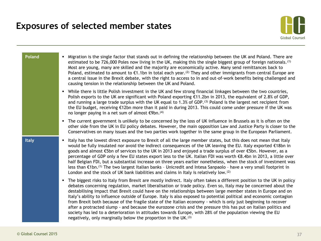![](_page_36_Picture_1.jpeg)

| <b>Poland</b> | Migration is the single factor that stands out in defining the relationship between the UK and Poland. There are<br>$\blacksquare$<br>estimated to be 726,000 Poles now living in the UK, making this the single biggest group of foreign nationals. <sup>(1)</sup><br>Most are young, many are skilled and the majority are economically active. Many send remittances back to<br>Poland, estimated to amount to $\epsilon$ 1.1bn in total each year. <sup>(2)</sup> They and other immigrants from central Europe are<br>a central issue in the Brexit debate, with the right to access to in and out-of-work benefits being challenged and<br>causing tension in the relationship between the UK and Poland.                                                                                                                                                                                                         |
|---------------|-------------------------------------------------------------------------------------------------------------------------------------------------------------------------------------------------------------------------------------------------------------------------------------------------------------------------------------------------------------------------------------------------------------------------------------------------------------------------------------------------------------------------------------------------------------------------------------------------------------------------------------------------------------------------------------------------------------------------------------------------------------------------------------------------------------------------------------------------------------------------------------------------------------------------|
|               | While there is little Polish investment in the UK and few strong financial linkages between the two countries,<br>٠<br>Polish exports to the UK are significant with Poland exporting $£11.2$ bn in 2013, the equivalent of 2.8% of GDP,<br>and running a large trade surplus with the UK equal to 1.3% of GDP. <sup>(3)</sup> Poland is the largest net recipient from<br>the EU budget, receiving €12bn more than it paid in during 2013. This could come under pressure if the UK was<br>no longer paying in a net sum of almost €9bn. <sup>(4)</sup>                                                                                                                                                                                                                                                                                                                                                                |
|               | The current government is unlikely to be concerned by the loss of UK influence in Brussels as it is often on the<br>٠<br>other side from the UK in EU policy debates. However, the main opposition Law and Justice Party is closer to the<br>Conservatives on many issues and the two parties work together in the same group in the European Parliament.                                                                                                                                                                                                                                                                                                                                                                                                                                                                                                                                                               |
| <b>Italy</b>  | Italy has the lowest direct exposure to Brexit of all the large member states, but this does not mean that Italy<br>$\blacksquare$<br>would be fully insulated nor avoid the indirect consequences of the UK leaving the EU. Italy exported €18bn in<br>goods and almost €5bn of services to the UK in 2013 and enjoyed a trade surplus of over €5bn. However, as a<br>percentage of GDP only a few EU states export less to the UK. Italian FDI was worth €8.4bn in 2013, a little over<br>half Belgian FDI, but a substantial increase on three years earlier nonetheless, when the stock of investment was<br>less than €1bn. <sup>(1)</sup> The two largest Italian banks - Unicredit and Intesa Sanpaolo - have a very small footprint in<br>London and the stock of UK bank liabilities and claims in Italy is relatively low. <sup>(2)</sup>                                                                     |
|               | The biggest risks to Italy from Brexit are mostly indirect. Italy often takes a different position to the UK in policy<br>٠<br>debates concerning regulation, market liberalisation or trade policy. Even so, Italy may be concerned about the<br>destabilising impact that Brexit could have on the relationships between large member states in Europe and on<br>Italy's ability to influence outside of Europe. Italy is also exposed to potential political and economic contagion<br>from Brexit both because of the fragile state of the Italian economy - which is only just beginning to recover<br>after a protracted slump - and because the eurozone crisis and the pressure this has put on Italian politics and<br>society has led to a deterioration in attitudes towards Europe, with 28% of the population viewing the EU<br>negatively, only marginally below the proportion in the UK. <sup>(3)</sup> |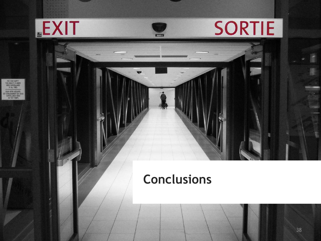![](_page_37_Picture_0.jpeg)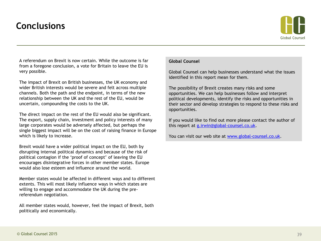# **Conclusions**

![](_page_38_Picture_1.jpeg)

A referendum on Brexit is now certain. While the outcome is far from a foregone conclusion, a vote for Britain to leave the EU is very possible.

The impact of Brexit on British businesses, the UK economy and wider British interests would be severe and felt across multiple channels. Both the path and the endpoint, in terms of the new relationship between the UK and the rest of the EU, would be uncertain, compounding the costs to the UK.

The direct impact on the rest of the EU would also be significant. The export, supply chain, investment and policy interests of many large corporates would be adversely affected, but perhaps the single biggest impact will be on the cost of raising finance in Europe which is likely to increase.

Brexit would have a wider political impact on the EU, both by disrupting internal political dynamics and because of the risk of political contagion if the 'proof of concept' of leaving the EU encourages disintegrative forces in other member states. Europe would also lose esteem and influence around the world.

Member states would be affected in different ways and to different extents. This will most likely influence ways in which states are willing to engage and accommodate the UK during the prereferendum negotiation.

All member states would, however, feel the impact of Brexit, both politically and economically.

### **Global Counsel**

Global Counsel can help businesses understand what the issues identified in this report mean for them.

The possibility of Brexit creates many risks and some opportunities. We can help businesses follow and interpret political developments, identify the risks and opportunities in their sector and develop strategies to respond to these risks and opportunities.

If you would like to find out more please contact the author of this report at [g.irwin@global-counsel.co.uk.](mailto:g.irwin@global-counsel.co.uk)

You can visit our web site at [www.global-counsel.co.uk](http://www.global-counsel.co.uk/).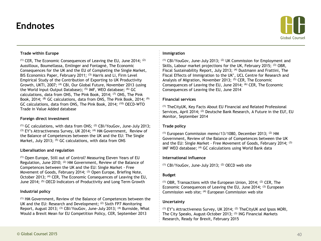### **Endnotes**

![](_page_39_Picture_1.jpeg)

#### **Trade within Europe**

(1) CER, The Economic Consequences of Leaving the EU, June 2014; (2) Aussilloux, Boumellassa, Emlinger and Fontagné, The Economic Consequences for the UK and the EU of Completing the Single Market, BIS Economics Paper, February 2011; <sup>(3)</sup> Harris and Li, Firm Level Empirical Study of the Contribution of Exporting to UK Productivity Growth, UKTI, 2007; <sup>(4)</sup> CBI, Our Global Future, November 2013 (using the World Input–Output Database); (5) IMF, WEO database; (6) GC calculations, data from ONS, The Pink Book, 2014; (7) ONS, The Pink Book, 2014; <sup>(8)</sup> GC calculations, data from ONS, The Pink Book, 2014; <sup>(9)</sup> GC calculations, data from ONS, The Pink Book, 2014; (10) OECD-WTO Trade in Value Added database

#### **Foreign direct investment**

 $(1)$  GC calculations, with data from ONS;  $(2)$  CBI/YouGov, June-July 2013; (3) EY's Attractiveness Survey, UK 2014; <sup>(4)</sup> HM Government, Review of the Balance of Competences between the UK and the EU: The Single Market, July 2013; <sup>(5)</sup> GC calculations, with data from ONS

#### **Liberalisation and regulation**

(1) Open Europe, Still out of Control? Measuring Eleven Years of EU Regulation, June 2010; (2) HM Government, Review of the Balance of Competences between the UK and the EU: Single Market - Free Movement of Goods, February 2014; (3) Open Europe, Briefing Note, October 2013; <sup>(4)</sup> CER, The Economic Consequences of Leaving the EU, June 2014; (5) OECD Indicators of Productivity and Long Term Growth

#### **Industrial policy**

(1) HM Government, Review of the Balance of Competences between the UK and the EU: Research and Development; <sup>(2)</sup> Sixth FP7 Monitoring Report, August 2013; (3) CBI/YouGov, June-July 2013; (4) Burnside, What Would a Brexit Mean for EU Competition Policy, CER, September 2013

#### **Immigration**

(1) CBI/YouGov, June-July 2013; (2) UK Commission for Employment and Skills, Labour market projections for the UK, February 2015; (3) OBR, Fiscal Sustainability Report, July 2013; <sup>(4)</sup> Dustmann and Frattini, The Fiscal Effects of Immigration to the UK', UCL Centre for Research and Analysis of Migration, November 2013; (5) CER, The Economic Consequences of Leaving the EU, June 2014; (6) CER, The Economic Consequences of Leaving the EU, June 2014

#### **Financial services**

(1) TheCityUK, Key Facts About EU Financial and Related Professional Services, April 2014; (2) Deutsche Bank Research, A Future in the EU?, EU Monitor, September 2014

#### **Trade policy**

 $(1)$  European Commission memo/13/1080, December 2013;  $(2)$  HM Government, Review of the Balance of Competences between the UK and the EU: Single Market - Free Movement of Goods, February 2014; (3) IMF WEO database; (4) GC calculations using World Bank data

#### **International influence**

(1) CBI/YouGov, June-July 2013; (2) OECD web site

#### **Budget**

 $(1)$  OBR, Transactions with the European Union, 2014;  $(2)$  CER, The Economic Consequences of Leaving the EU, June 2014; (3) European Commission web site; (4) European Commission web site

#### **Uncertainty**

 $(1)$  EY's Attractiveness Survey, UK 2014;  $(2)$  The City UK and Ipsos MORI, The City Speaks, August-October 2013; (3) ING Financial Markets Research, Ready for Brexit, February 2015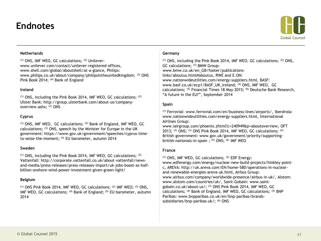### **Endnotes**

![](_page_40_Picture_1.jpeg)

#### **Netherlands**

(1) ONS, IMF WEO, GC calculations; (2) Unilever: www.unilever.com/contact/unilever-registered-offices, www.shell.com/global/aboutshell/at-a-glance, Philips: www.philips.co.uk/about/company/philipsintheunitedkingdom; (3) ONS Pink Book 2014; (4) Bank of England

#### **Ireland**

(1) ONS, including the Pink Book 2014, IMF WEO, GC calculations; (2) Ulster Bank: http://group.ulsterbank.com/about-us/companyoverview.ashx; (3) ONS

#### **Cyprus**

(1) ONS, IMF WEO, GC calculations; (2) Bank of England, IMF WEO, GC calculations; (3) ONS, speech by the Minister for Europe in the UK government: https://www.gov.uk/government/speeches/cyprus-timeto-seize-the-moment; (4) EU barometer, autumn 2014

#### **Sweden**

 $(1)$  ONS, including the Pink Book 2014, IMF WEO, GC calculations;  $(2)$ Vattenfall: http://corporate.vattenfall.co.uk/about-vattenfall/newsand-media/press-releases/press-releases-import/uk-jobs-boost-as-halfbillion-onshore-wind-power-investment-given-green-light/

#### **Belgium**

(1) ONS Pink Book 2014, IMF WEO, GC calculations; (2) IMF WEO; (3) ONS, IMF WEO, GC calculations; <sup>(4)</sup> Bank of England; <sup>(5)</sup> EU barometer, autumn 2014

#### **Germany**

(1) ONS, including the Pink Book 2014, IMF WEO, GC calculations; (2) ONS, GC calculations; (3) BMW Group: www.bmw.co.uk/en\_GB/footer/publicationslinks/aboutus.html#aboutus, RWE and E.ON: www.nationwideutilities.com/energy-suppliers.html, BASF: www.basf.co.uk/ecp1/BASF\_UK\_Ireland; (4) ONS, IMF WEO, GC calculations; (5) Financial Times 18 May 2015; (6) Deutsche Bank Research, "A future in the EU?", September 2014

#### **Spain**

(1) Ferrovial: www.ferrovial.com/en/business-lines/airports/, Iberdrola: www.nationwideutilities.com/energy-suppliers.html, International Airlines Group:

www.iairgroup.com/phoenix.zhtml?c=240949&p=aboutoverview, OFT 2013; (2) ONS; (3) ONS Pink Book 2014, IMF WEO, GC calculations; (4) British government: www.gov.uk/government/priority/supportingbritish-nationals-in-spain ; (5) ONS; (6) IMF WEO

#### **France**

(1) ONS, IMF WEO, GC calculations; (2) EDF Energy: www.edfenergy.com/energy/nuclear-new-build-projects/hinkley-pointc, AREVA: http://uk.areva.com/EN/home-580/operations-in-nuclearand-renewable-energies-areva-uk.html, Airbus Group: www.airbus.com/company/worldwide-presence/airbus-in-uk/, Alstom: www.alstom.com/countries/uk/, Saint-Gobain: www.saintgobain.co.uk/about-us/; (3) ONS Pink Book 2014, IMF WEO, GC calculations; (4) Bank of England, IMF WEO, GC calculations; (5) BNP Paribas: www.bnpparibas.co.uk/en/bnp-paribas/brandssubsidiaries/bnp-paribas-uk/; (6) ONS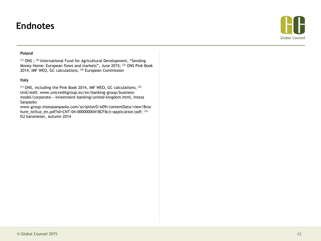### **Endnotes**

![](_page_41_Picture_1.jpeg)

#### **Poland**

(1) ONS ; (2) International Fund for Agricultural Development, "Sending Money Home: European flows and markets", June 2015; (3) ONS Pink Book 2014, IMF WEO, GC calculations; <sup>(4)</sup> European Commission

#### **Italy**

(1) ONS, including the Pink Book 2014, IMF WEO, GC calculations; (2) UniCredit: www.unicreditgroup.eu/en/banking-group/businessmodel/corporate---investment-banking/united-kingdom.html, Intesa Sanpaolo:

www.group.intesasanpaolo.com/scriptIsir0/si09/contentData/view/Broc hure\_istituz\_en.pdf?id=CNT-04-00000000418CF&ct=application/pdf; (3) EU barometer, autumn 2014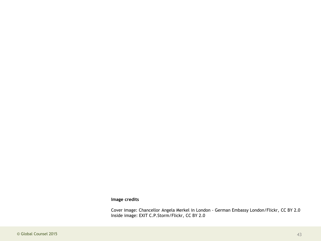### **Image credits**

Cover image: Chancellor Angela Merkel in London - German Embassy London/Flickr, CC BY 2.0 Inside image: EXIT C.P.Storm/Flickr, CC BY 2.0